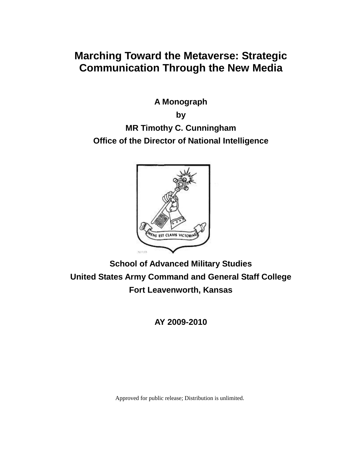# **Marching Toward the Metaverse: Strategic Communication Through the New Media**

**A Monograph**

**by MR Timothy C. Cunningham Office of the Director of National Intelligence**



**School of Advanced Military Studies United States Army Command and General Staff College Fort Leavenworth, Kansas**

**AY 2009-2010**

Approved for public release; Distribution is unlimited.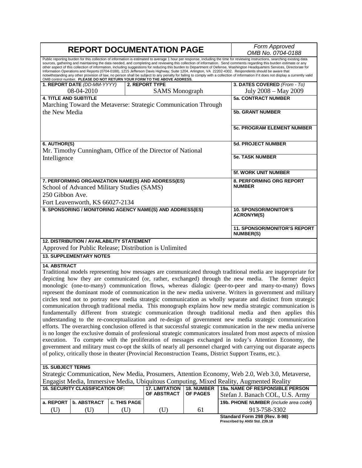|                                                                                                                                                                                                                                                                                                                                                                                                                                                                                                                                                                                                                                                                                                                                                                                                                                                                                                                                                                                                                                                                                                                                                                                                                                                                                                                                                                                                                                                                                                       | <b>REPORT DOCUMENTATION PAGE</b>                          | Form Approved<br>OMB No. 0704-0188                |                                                                |                        |                                                                    |  |  |  |
|-------------------------------------------------------------------------------------------------------------------------------------------------------------------------------------------------------------------------------------------------------------------------------------------------------------------------------------------------------------------------------------------------------------------------------------------------------------------------------------------------------------------------------------------------------------------------------------------------------------------------------------------------------------------------------------------------------------------------------------------------------------------------------------------------------------------------------------------------------------------------------------------------------------------------------------------------------------------------------------------------------------------------------------------------------------------------------------------------------------------------------------------------------------------------------------------------------------------------------------------------------------------------------------------------------------------------------------------------------------------------------------------------------------------------------------------------------------------------------------------------------|-----------------------------------------------------------|---------------------------------------------------|----------------------------------------------------------------|------------------------|--------------------------------------------------------------------|--|--|--|
| Public reporting burden for this collection of information is estimated to average 1 hour per response, including the time for reviewing instructions, searching existing data<br>sources, gathering and maintaining the data needed, and completing and reviewing this collection of information. Send comments regarding this burden estimate or any<br>other aspect of this collection of information, including suggestions for reducing this burden to Department of Defense, Washington Headquarters Services, Directorate for<br>Information Operations and Reports (0704-0188), 1215 Jefferson Davis Highway, Suite 1204, Arlington, VA 22202-4302. Respondents should be aware that<br>notwithstanding any other provision of law, no person shall be subject to any penalty for failing to comply with a collection of information if it does not display a currently valid<br>OMB control number. PLEASE DO NOT RETURN YOUR FORM TO THE ABOVE ADDRESS.                                                                                                                                                                                                                                                                                                                                                                                                                                                                                                                                     |                                                           |                                                   |                                                                |                        |                                                                    |  |  |  |
|                                                                                                                                                                                                                                                                                                                                                                                                                                                                                                                                                                                                                                                                                                                                                                                                                                                                                                                                                                                                                                                                                                                                                                                                                                                                                                                                                                                                                                                                                                       | 1. REPORT DATE (DD-MM-YYYY)                               |                                                   | 2. REPORT TYPE                                                 |                        | 3. DATES COVERED (From - To)                                       |  |  |  |
|                                                                                                                                                                                                                                                                                                                                                                                                                                                                                                                                                                                                                                                                                                                                                                                                                                                                                                                                                                                                                                                                                                                                                                                                                                                                                                                                                                                                                                                                                                       | 08-04-2010                                                |                                                   | <b>SAMS</b> Monograph                                          |                        | July 2008 – May 2009                                               |  |  |  |
| <b>4. TITLE AND SUBTITLE</b>                                                                                                                                                                                                                                                                                                                                                                                                                                                                                                                                                                                                                                                                                                                                                                                                                                                                                                                                                                                                                                                                                                                                                                                                                                                                                                                                                                                                                                                                          |                                                           |                                                   |                                                                |                        | <b>5a. CONTRACT NUMBER</b>                                         |  |  |  |
|                                                                                                                                                                                                                                                                                                                                                                                                                                                                                                                                                                                                                                                                                                                                                                                                                                                                                                                                                                                                                                                                                                                                                                                                                                                                                                                                                                                                                                                                                                       |                                                           |                                                   | Marching Toward the Metaverse: Strategic Communication Through |                        |                                                                    |  |  |  |
| the New Media                                                                                                                                                                                                                                                                                                                                                                                                                                                                                                                                                                                                                                                                                                                                                                                                                                                                                                                                                                                                                                                                                                                                                                                                                                                                                                                                                                                                                                                                                         |                                                           | <b>5b. GRANT NUMBER</b>                           |                                                                |                        |                                                                    |  |  |  |
|                                                                                                                                                                                                                                                                                                                                                                                                                                                                                                                                                                                                                                                                                                                                                                                                                                                                                                                                                                                                                                                                                                                                                                                                                                                                                                                                                                                                                                                                                                       |                                                           |                                                   |                                                                |                        | 5c. PROGRAM ELEMENT NUMBER                                         |  |  |  |
| 6. AUTHOR(S)                                                                                                                                                                                                                                                                                                                                                                                                                                                                                                                                                                                                                                                                                                                                                                                                                                                                                                                                                                                                                                                                                                                                                                                                                                                                                                                                                                                                                                                                                          |                                                           |                                                   | Mr. Timothy Cunningham, Office of the Director of National     |                        | <b>5d. PROJECT NUMBER</b>                                          |  |  |  |
| Intelligence                                                                                                                                                                                                                                                                                                                                                                                                                                                                                                                                                                                                                                                                                                                                                                                                                                                                                                                                                                                                                                                                                                                                                                                                                                                                                                                                                                                                                                                                                          |                                                           | <b>5e. TASK NUMBER</b>                            |                                                                |                        |                                                                    |  |  |  |
|                                                                                                                                                                                                                                                                                                                                                                                                                                                                                                                                                                                                                                                                                                                                                                                                                                                                                                                                                                                                                                                                                                                                                                                                                                                                                                                                                                                                                                                                                                       |                                                           |                                                   |                                                                |                        | <b>5f. WORK UNIT NUMBER</b>                                        |  |  |  |
|                                                                                                                                                                                                                                                                                                                                                                                                                                                                                                                                                                                                                                                                                                                                                                                                                                                                                                                                                                                                                                                                                                                                                                                                                                                                                                                                                                                                                                                                                                       |                                                           |                                                   | 7. PERFORMING ORGANIZATION NAME(S) AND ADDRESS(ES)             |                        | 8. PERFORMING ORG REPORT                                           |  |  |  |
|                                                                                                                                                                                                                                                                                                                                                                                                                                                                                                                                                                                                                                                                                                                                                                                                                                                                                                                                                                                                                                                                                                                                                                                                                                                                                                                                                                                                                                                                                                       | School of Advanced Military Studies (SAMS)                |                                                   |                                                                |                        | <b>NUMBER</b>                                                      |  |  |  |
| 250 Gibbon Ave.                                                                                                                                                                                                                                                                                                                                                                                                                                                                                                                                                                                                                                                                                                                                                                                                                                                                                                                                                                                                                                                                                                                                                                                                                                                                                                                                                                                                                                                                                       |                                                           |                                                   |                                                                |                        |                                                                    |  |  |  |
|                                                                                                                                                                                                                                                                                                                                                                                                                                                                                                                                                                                                                                                                                                                                                                                                                                                                                                                                                                                                                                                                                                                                                                                                                                                                                                                                                                                                                                                                                                       | Fort Leavenworth, KS 66027-2134                           |                                                   |                                                                |                        |                                                                    |  |  |  |
|                                                                                                                                                                                                                                                                                                                                                                                                                                                                                                                                                                                                                                                                                                                                                                                                                                                                                                                                                                                                                                                                                                                                                                                                                                                                                                                                                                                                                                                                                                       | 9. SPONSORING / MONITORING AGENCY NAME(S) AND ADDRESS(ES) | <b>10. SPONSOR/MONITOR'S</b><br><b>ACRONYM(S)</b> |                                                                |                        |                                                                    |  |  |  |
|                                                                                                                                                                                                                                                                                                                                                                                                                                                                                                                                                                                                                                                                                                                                                                                                                                                                                                                                                                                                                                                                                                                                                                                                                                                                                                                                                                                                                                                                                                       |                                                           |                                                   |                                                                |                        | 11. SPONSOR/MONITOR'S REPORT<br><b>NUMBER(S)</b>                   |  |  |  |
|                                                                                                                                                                                                                                                                                                                                                                                                                                                                                                                                                                                                                                                                                                                                                                                                                                                                                                                                                                                                                                                                                                                                                                                                                                                                                                                                                                                                                                                                                                       | <b>12. DISTRIBUTION / AVAILABILITY STATEMENT</b>          |                                                   |                                                                |                        |                                                                    |  |  |  |
|                                                                                                                                                                                                                                                                                                                                                                                                                                                                                                                                                                                                                                                                                                                                                                                                                                                                                                                                                                                                                                                                                                                                                                                                                                                                                                                                                                                                                                                                                                       |                                                           |                                                   | Approved for Public Release; Distribution is Unlimited         |                        |                                                                    |  |  |  |
|                                                                                                                                                                                                                                                                                                                                                                                                                                                                                                                                                                                                                                                                                                                                                                                                                                                                                                                                                                                                                                                                                                                                                                                                                                                                                                                                                                                                                                                                                                       | <b>13. SUPPLEMENTARY NOTES</b>                            |                                                   |                                                                |                        |                                                                    |  |  |  |
| <b>14. ABSTRACT</b><br>Traditional models representing how messages are communicated through traditional media are inappropriate for<br>depicting how they are communicated (or, rather, exchanged) through the new media. The former depict<br>monologic (one-to-many) communication flows, whereas dialogic (peer-to-peer and many-to-many) flows<br>represent the dominant mode of communication in the new media universe. Writers in government and military<br>circles tend not to portray new media strategic communication as wholly separate and distinct from strategic<br>communication through traditional media. This monograph explains how new media strategic communication is<br>fundamentally different from strategic communication through traditional media and then applies this<br>understanding to the re-conceptualization and re-design of government new media strategic communication<br>efforts. The overarching conclusion offered is that successful strategic communication in the new media universe<br>is no longer the exclusive domain of professional strategic communicators insulated from most aspects of mission<br>To compete with the proliferation of messages exchanged in today's Attention Economy, the<br>execution.<br>government and military must co-opt the skills of nearly all personnel charged with carrying out disparate aspects<br>of policy, critically those in theater (Provincial Reconstruction Teams, District Support Teams, etc.). |                                                           |                                                   |                                                                |                        |                                                                    |  |  |  |
| <b>15. SUBJECT TERMS</b>                                                                                                                                                                                                                                                                                                                                                                                                                                                                                                                                                                                                                                                                                                                                                                                                                                                                                                                                                                                                                                                                                                                                                                                                                                                                                                                                                                                                                                                                              |                                                           |                                                   |                                                                |                        |                                                                    |  |  |  |
| Strategic Communication, New Media, Prosumers, Attention Economy, Web 2.0, Web 3.0, Metaverse,                                                                                                                                                                                                                                                                                                                                                                                                                                                                                                                                                                                                                                                                                                                                                                                                                                                                                                                                                                                                                                                                                                                                                                                                                                                                                                                                                                                                        |                                                           |                                                   |                                                                |                        |                                                                    |  |  |  |
| Engagist Media, Immersive Media, Ubiquitous Computing, Mixed Reality, Augmented Reality                                                                                                                                                                                                                                                                                                                                                                                                                                                                                                                                                                                                                                                                                                                                                                                                                                                                                                                                                                                                                                                                                                                                                                                                                                                                                                                                                                                                               |                                                           |                                                   |                                                                |                        |                                                                    |  |  |  |
|                                                                                                                                                                                                                                                                                                                                                                                                                                                                                                                                                                                                                                                                                                                                                                                                                                                                                                                                                                                                                                                                                                                                                                                                                                                                                                                                                                                                                                                                                                       | <b>16. SECURITY CLASSIFICATION OF:</b>                    |                                                   | <b>17. LIMITATION</b><br>OF ABSTRACT                           | 18. NUMBER<br>OF PAGES | 19a. NAME OF RESPONSIBLE PERSON<br>Stefan J. Banach COL, U.S. Army |  |  |  |
| a. REPORT                                                                                                                                                                                                                                                                                                                                                                                                                                                                                                                                                                                                                                                                                                                                                                                                                                                                                                                                                                                                                                                                                                                                                                                                                                                                                                                                                                                                                                                                                             | <b>b. ABSTRACT</b>                                        | c. THIS PAGE                                      |                                                                |                        | 19b. PHONE NUMBER (include area code)                              |  |  |  |
| (U)                                                                                                                                                                                                                                                                                                                                                                                                                                                                                                                                                                                                                                                                                                                                                                                                                                                                                                                                                                                                                                                                                                                                                                                                                                                                                                                                                                                                                                                                                                   | (U)                                                       | (U)                                               | (U)                                                            | 61                     | 913-758-3302                                                       |  |  |  |

| Standard Form 298 (Rev. 8-98)  |  |  |
|--------------------------------|--|--|
| Prescribed by ANSI Std. Z39.18 |  |  |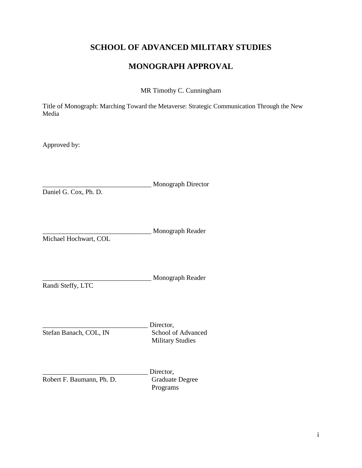### **SCHOOL OF ADVANCED MILITARY STUDIES**

### **MONOGRAPH APPROVAL**

MR Timothy C. Cunningham

Title of Monograph: Marching Toward the Metaverse: Strategic Communication Through the New Media

Approved by:

\_\_\_\_\_\_\_\_\_\_\_\_\_\_\_\_\_\_\_\_\_\_\_\_\_\_\_\_\_\_\_\_ Monograph Director

Daniel G. Cox, Ph. D.

\_\_\_\_\_\_\_\_\_\_\_\_\_\_\_\_\_\_\_\_\_\_\_\_\_\_\_\_\_\_\_\_ Monograph Reader

Michael Hochwart, COL

\_\_\_\_\_\_\_\_\_\_\_\_\_\_\_\_\_\_\_\_\_\_\_\_\_\_\_\_\_\_\_\_ Monograph Reader

Randi Steffy, LTC

Director,<br>School of Advanced Stefan Banach, COL, IN Military Studies

Director,<br>Graduate Degree Robert F. Baumann, Ph. D. Programs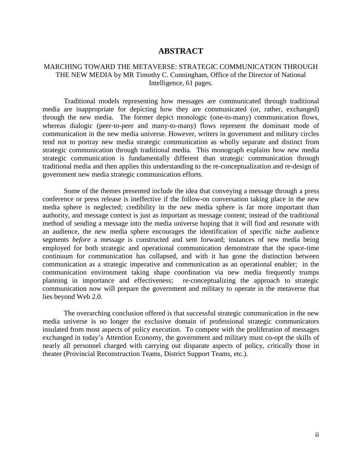#### **ABSTRACT**

#### <span id="page-4-0"></span>MARCHING TOWARD THE METAVERSE: STRATEGIC COMMUNICATION THROUGH THE NEW MEDIA by MR Timothy C. Cunningham, Office of the Director of National Intelligence, 61 pages.

Traditional models representing how messages are communicated through traditional media are inappropriate for depicting how they are communicated (or, rather, exchanged) through the new media. The former depict monologic (one-to-many) communication flows, whereas dialogic (peer-to-peer and many-to-many) flows represent the dominant mode of communication in the new media universe. However, writers in government and military circles tend not to portray new media strategic communication as wholly separate and distinct from strategic communication through traditional media. This monograph explains how new media strategic communication is fundamentally different than strategic communication through traditional media and then applies this understanding to the re-conceptualization and re-design of government new media strategic communication efforts.

Some of the themes presented include the idea that conveying a message through a press conference or press release is ineffective if the follow-on conversation taking place in the new media sphere is neglected; credibility in the new media sphere is far more important than authority, and message context is just as important as message content; instead of the traditional method of sending a message into the media universe hoping that it will find and resonate with an audience, the new media sphere encourages the identification of specific niche audience segments *before* a message is constructed and sent forward; instances of new media being employed for both strategic and operational communication demonstrate that the space-time continuum for communication has collapsed, and with it has gone the distinction between communication as a strategic imperative and communication as an operational enabler; in the communication environment taking shape coordination via new media frequently trumps planning in importance and effectiveness; re-conceptualizing the approach to strategic communication now will prepare the government and military to operate in the metaverse that lies beyond Web 2.0.

The overarching conclusion offered is that successful strategic communication in the new media universe is no longer the exclusive domain of professional strategic communicators insulated from most aspects of policy execution. To compete with the proliferation of messages exchanged in today's Attention Economy, the government and military must co-opt the skills of nearly all personnel charged with carrying out disparate aspects of policy, critically those in theater (Provincial Reconstruction Teams, District Support Teams, etc.).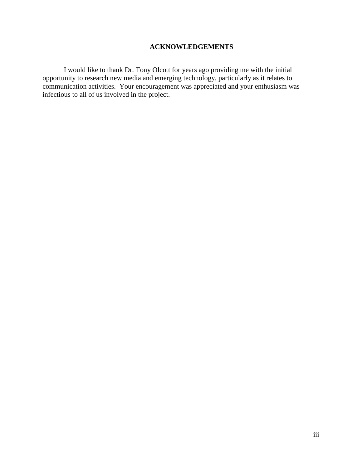### **ACKNOWLEDGEMENTS**

I would like to thank Dr. Tony Olcott for years ago providing me with the initial opportunity to research new media and emerging technology, particularly as it relates to communication activities. Your encouragement was appreciated and your enthusiasm was infectious to all of us involved in the project.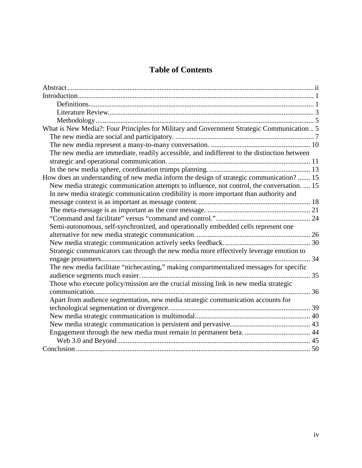## **Table of Contents**

| What is New Media?: Four Principles for Military and Government Strategic Communication  5  |  |
|---------------------------------------------------------------------------------------------|--|
|                                                                                             |  |
|                                                                                             |  |
| The new media are immediate, readily accessible, and indifferent to the distinction between |  |
|                                                                                             |  |
|                                                                                             |  |
| How does an understanding of new media inform the design of strategic communication?  15    |  |
| New media strategic communication attempts to influence, not control, the conversation.  15 |  |
| In new media strategic communication credibility is more important than authority and       |  |
|                                                                                             |  |
|                                                                                             |  |
|                                                                                             |  |
| Semi-autonomous, self-synchronized, and operationally embedded cells represent one          |  |
|                                                                                             |  |
|                                                                                             |  |
| Strategic communicators can through the new media more effectively leverage emotion to      |  |
| 34                                                                                          |  |
| The new media facilitate "nichecasting," making compartmentalized messages for specific     |  |
|                                                                                             |  |
| Those who execute policy/mission are the crucial missing link in new media strategic        |  |
|                                                                                             |  |
| Apart from audience segmentation, new media strategic communication accounts for            |  |
|                                                                                             |  |
|                                                                                             |  |
|                                                                                             |  |
|                                                                                             |  |
|                                                                                             |  |
|                                                                                             |  |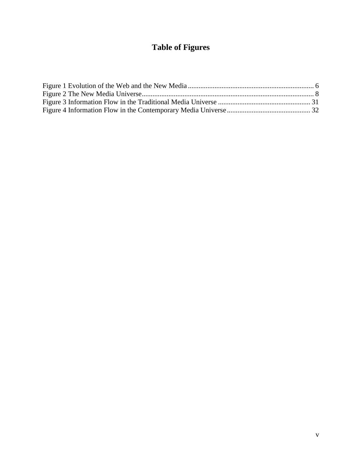# **Table of Figures**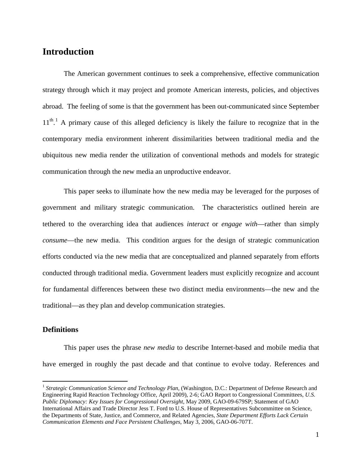### <span id="page-8-0"></span>**Introduction**

The American government continues to seek a comprehensive, effective communication strategy through which it may project and promote American interests, policies, and objectives abroad. The feeling of some is that the government has been out-communicated since September  $11<sup>th</sup>$  $11<sup>th</sup>$ . A primary cause of this alleged deficiency is likely the failure to recognize that in the contemporary media environment inherent dissimilarities between traditional media and the ubiquitous new media render the utilization of conventional methods and models for strategic communication through the new media an unproductive endeavor.

This paper seeks to illuminate how the new media may be leveraged for the purposes of government and military strategic communication. The characteristics outlined herein are tethered to the overarching idea that audiences *interact* or *engage with*—rather than simply *consume*—the new media. This condition argues for the design of strategic communication efforts conducted via the new media that are conceptualized and planned separately from efforts conducted through traditional media. Government leaders must explicitly recognize and account for fundamental differences between these two distinct media environments—the new and the traditional—as they plan and develop communication strategies.

#### <span id="page-8-1"></span>**Definitions**

 $\overline{a}$ 

This paper uses the phrase *new media* to describe Internet-based and mobile media that have emerged in roughly the past decade and that continue to evolve today. References and

<span id="page-8-2"></span><sup>&</sup>lt;sup>1</sup> Strategic Communication Science and Technology Plan, (Washington, D.C.: Department of Defense Research and Engineering Rapid Reaction Technology Office, April 2009), 2-6; GAO Report to Congressional Committees, *U.S. Public Diplomacy: Key Issues for Congressional Oversight*, May 2009, GAO-09-679SP; Statement of GAO International Affairs and Trade Director Jess T. Ford to U.S. House of Representatives Subcommittee on Science, the Departments of State, Justice, and Commerce, and Related Agencies, *State Department Efforts Lack Certain Communication Elements and Face Persistent Challenges*, May 3, 2006, GAO-06-707T.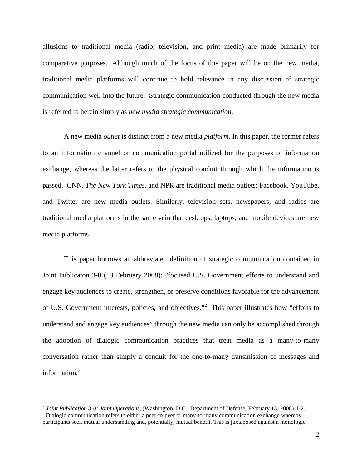allusions to traditional media (radio, television, and print media) are made primarily for comparative purposes. Although much of the focus of this paper will be on the new media, traditional media platforms will continue to hold relevance in any discussion of strategic communication well into the future. Strategic communication conducted through the new media is referred to herein simply as *new media strategic communication*.

A new media *outlet* is distinct from a new media *platform*. In this paper, the former refers to an information channel or communication portal utilized for the purposes of information exchange, whereas the latter refers to the physical conduit through which the information is passed. CNN, *The New York Times*, and NPR are traditional media outlets; Facebook, YouTube, and Twitter are new media outlets. Similarly, television sets, newspapers, and radios are traditional media platforms in the same vein that desktops, laptops, and mobile devices are new media platforms.

This paper borrows an abbreviated definition of strategic communication contained in Joint Publicaton 3-0 (13 February 2008): "focused U.S. Government efforts to understand and engage key audiences to create, strengthen, or preserve conditions favorable for the advancement of U.S. Government interests, policies, and objectives."<sup>[2](#page-9-0)</sup> This paper illustrates how "efforts to understand and engage key audiences" through the new media can only be accomplished through the adoption of dialogic communication practices that treat media as a many-to-many conversation rather than simply a conduit for the one-to-many transmission of messages and information.<sup>[3](#page-9-1)</sup>

<span id="page-9-0"></span><sup>&</sup>lt;sup>2</sup> Joint Publication 3-0: Joint Operations, (Washington, D.C.: Department of Defense, February 13, 2008), I-2.

<span id="page-9-1"></span> $3$  Dialogic communication refers to either a peer-to-peer or many-to-many communication exchange whereby participants seek mutual understanding and, potentially, mutual benefit. This is juxtaposed against a monologic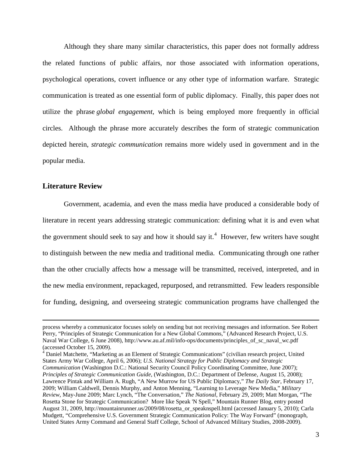Although they share many similar characteristics, this paper does not formally address the related functions of public affairs, nor those associated with information operations, psychological operations, covert influence or any other type of information warfare. Strategic communication is treated as one essential form of public diplomacy. Finally, this paper does not utilize the phrase *global engagement*, which is being employed more frequently in official circles. Although the phrase more accurately describes the form of strategic communication depicted herein, *strategic communication* remains more widely used in government and in the popular media.

#### <span id="page-10-0"></span>**Literature Review**

 $\overline{a}$ 

Government, academia, and even the mass media have produced a considerable body of literature in recent years addressing strategic communication: defining what it is and even what the government should seek to say and how it should say it.<sup>[4](#page-10-1)</sup> However, few writers have sought to distinguish between the new media and traditional media. Communicating through one rather than the other crucially affects how a message will be transmitted, received, interpreted, and in the new media environment, repackaged, repurposed, and retransmitted. Few leaders responsible for funding, designing, and overseeing strategic communication programs have challenged the

process whereby a communicator focuses solely on sending but not receiving messages and information. See Robert Perry, "Principles of Strategic Communication for a New Global Commons," (Advanced Research Project, U.S. Naval War College, 6 June 2008), http://www.au.af.mil/info-ops/documents/principles\_of\_sc\_naval\_wc.pdf (accessed October 15, 2009).

<span id="page-10-1"></span><sup>&</sup>lt;sup>4</sup> Daniel Matchette, "Marketing as an Element of Strategic Communications" (civilian research project, United States Army War College, April 6, 2006); *U.S. National Strategy for Public Diplomacy and Strategic Communication* (Washington D.C.: National Security Council Policy Coordinating Committee, June 2007); *Principles of Strategic Communication Guide*, (Washington, D.C.: Department of Defense, August 15, 2008); Lawrence Pintak and William A. Rugh, "A New Murrow for US Public Diplomacy," *The Daily Star*, February 17, 2009; William Caldwell, Dennis Murphy, and Anton Menning, "Learning to Leverage New Media," *Military Review*, May-June 2009; Marc Lynch, "The Conversation," *The National*, February 29, 2009; Matt Morgan, "The Rosetta Stone for Strategic Communication? More like Speak 'N Spell," Mountain Runner Blog, entry posted August 31, 2009, http://mountainrunner.us/2009/08/rosetta\_or\_speaknspell.html (accessed January 5, 2010); Carla Mudgett, "Comprehensive U.S. Government Strategic Communication Policy: The Way Forward" (monograph, United States Army Command and General Staff College, School of Advanced Military Studies, 2008-2009).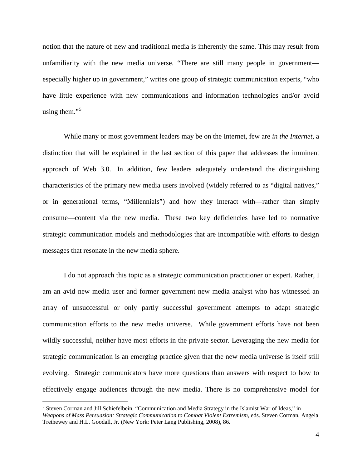notion that the nature of new and traditional media is inherently the same. This may result from unfamiliarity with the new media universe. "There are still many people in government especially higher up in government," writes one group of strategic communication experts, "who have little experience with new communications and information technologies and/or avoid using them."<sup>[5](#page-11-0)</sup>

While many or most government leaders may be on the Internet, few are *in the Internet*, a distinction that will be explained in the last section of this paper that addresses the imminent approach of Web 3.0. In addition, few leaders adequately understand the distinguishing characteristics of the primary new media users involved (widely referred to as "digital natives," or in generational terms, "Millennials") and how they interact with—rather than simply consume—content via the new media. These two key deficiencies have led to normative strategic communication models and methodologies that are incompatible with efforts to design messages that resonate in the new media sphere.

I do not approach this topic as a strategic communication practitioner or expert. Rather, I am an avid new media user and former government new media analyst who has witnessed an array of unsuccessful or only partly successful government attempts to adapt strategic communication efforts to the new media universe. While government efforts have not been wildly successful, neither have most efforts in the private sector. Leveraging the new media for strategic communication is an emerging practice given that the new media universe is itself still evolving. Strategic communicators have more questions than answers with respect to how to effectively engage audiences through the new media. There is no comprehensive model for

<span id="page-11-0"></span><sup>&</sup>lt;sup>5</sup> Steven Corman and Jill Schiefelbein, "Communication and Media Strategy in the Islamist War of Ideas," in *Weapons of Mass Persuasion: Strategic Communication to Combat Violent Extremism,* eds. Steven Corman, Angela Trethewey and H.L. Goodall, Jr. (New York: Peter Lang Publishing, 2008), 86.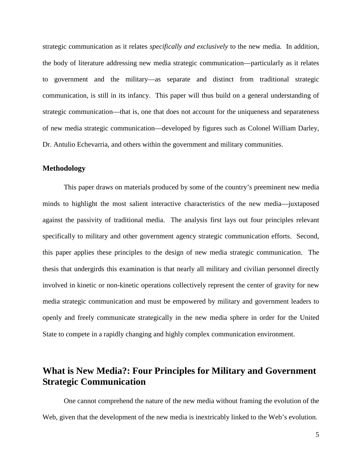strategic communication as it relates *specifically and exclusively* to the new media. In addition, the body of literature addressing new media strategic communication—particularly as it relates to government and the military—as separate and distinct from traditional strategic communication, is still in its infancy. This paper will thus build on a general understanding of strategic communication—that is, one that does not account for the uniqueness and separateness of new media strategic communication—developed by figures such as Colonel William Darley, Dr. Antulio Echevarria, and others within the government and military communities.

#### <span id="page-12-0"></span>**Methodology**

This paper draws on materials produced by some of the country's preeminent new media minds to highlight the most salient interactive characteristics of the new media—juxtaposed against the passivity of traditional media. The analysis first lays out four principles relevant specifically to military and other government agency strategic communication efforts. Second, this paper applies these principles to the design of new media strategic communication. The thesis that undergirds this examination is that nearly all military and civilian personnel directly involved in kinetic or non-kinetic operations collectively represent the center of gravity for new media strategic communication and must be empowered by military and government leaders to openly and freely communicate strategically in the new media sphere in order for the United State to compete in a rapidly changing and highly complex communication environment.

## <span id="page-12-1"></span>**What is New Media?: Four Principles for Military and Government Strategic Communication**

One cannot comprehend the nature of the new media without framing the evolution of the Web, given that the development of the new media is inextricably linked to the Web's evolution.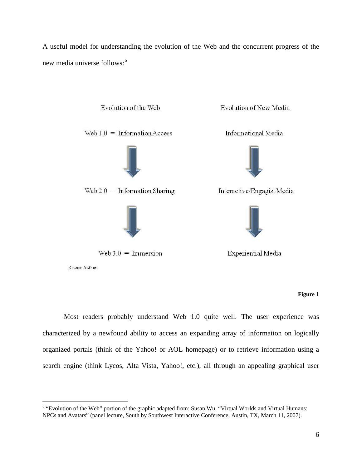A useful model for understanding the evolution of the Web and the concurrent progress of the new media universe follows: [6](#page-13-1)



Source: Author

 $\overline{a}$ 

#### **Figure 1**

<span id="page-13-0"></span>Most readers probably understand Web 1.0 quite well. The user experience was characterized by a newfound ability to access an expanding array of information on logically organized portals (think of the Yahoo! or AOL homepage) or to retrieve information using a search engine (think Lycos, Alta Vista, Yahoo!, etc.), all through an appealing graphical user

<span id="page-13-1"></span><sup>6</sup> "Evolution of the Web" portion of the graphic adapted from: Susan Wu, "Virtual Worlds and Virtual Humans: NPCs and Avatars" (panel lecture, South by Southwest Interactive Conference, Austin, TX, March 11, 2007).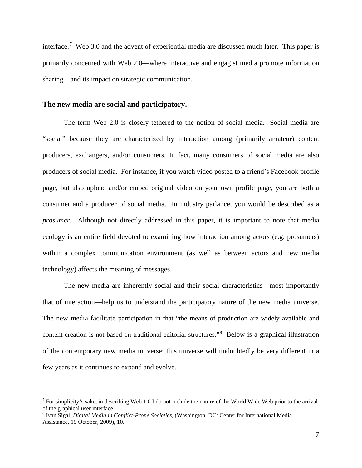interface.<sup>[7](#page-14-1)</sup> Web 3.0 and the advent of experiential media are discussed much later. This paper is primarily concerned with Web 2.0—where interactive and engagist media promote information sharing—and its impact on strategic communication.

#### <span id="page-14-0"></span>**The new media are social and participatory.**

The term Web 2.0 is closely tethered to the notion of social media. Social media are "social" because they are characterized by interaction among (primarily amateur) content producers, exchangers, and/or consumers. In fact, many consumers of social media are also producers of social media. For instance, if you watch video posted to a friend's Facebook profile page, but also upload and/or embed original video on your own profile page, you are both a consumer and a producer of social media. In industry parlance, you would be described as a *prosumer*. Although not directly addressed in this paper, it is important to note that media ecology is an entire field devoted to examining how interaction among actors (e.g. prosumers) within a complex communication environment (as well as between actors and new media technology) affects the meaning of messages.

The new media are inherently social and their social characteristics—most importantly that of interaction—help us to understand the participatory nature of the new media universe. The new media facilitate participation in that "the means of production are widely available and content creation is not based on traditional editorial structures."<sup>[8](#page-14-2)</sup> Below is a graphical illustration of the contemporary new media universe; this universe will undoubtedly be very different in a few years as it continues to expand and evolve.

<span id="page-14-1"></span> $<sup>7</sup>$  For simplicity's sake, in describing Web 1.0 I do not include the nature of the World Wide Web prior to the arrival</sup> of the graphical user interface.

<span id="page-14-2"></span><sup>8</sup> Ivan Sigal, *Digital Media in Conflict-Prone Societies*, (Washington, DC: Center for International Media Assistance, 19 October, 2009), 10.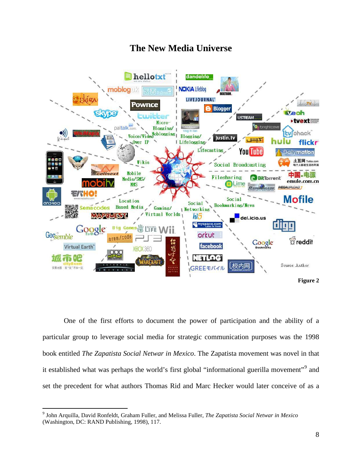## **The New Media Universe**



<span id="page-15-0"></span>One of the first efforts to document the power of participation and the ability of a particular group to leverage social media for strategic communication purposes was the 1998 book entitled *The Zapatista Social Netwar in Mexico*. The Zapatista movement was novel in that it established what was perhaps the world's first global "informational guerilla movement"<sup>[9](#page-15-1)</sup> and set the precedent for what authors Thomas Rid and Marc Hecker would later conceive of as a

<span id="page-15-1"></span><sup>9</sup> John Arquilla, David Ronfeldt, Graham Fuller, and Melissa Fuller, *The Zapatista Social Netwar in Mexico* (Washington, DC: RAND Publishing, 1998), 117.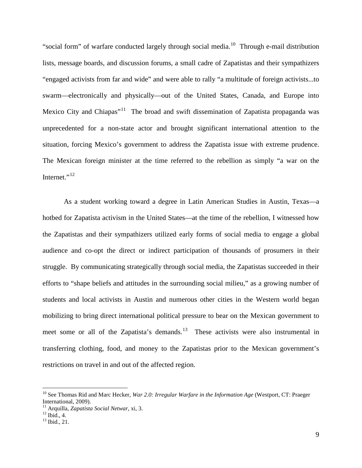"social form" of warfare conducted largely through social media.<sup>[10](#page-16-0)</sup> Through e-mail distribution lists, message boards, and discussion forums, a small cadre of Zapatistas and their sympathizers "engaged activists from far and wide" and were able to rally "a multitude of foreign activists...to swarm—electronically and physically—out of the United States, Canada, and Europe into Mexico City and Chiapas"<sup>11</sup> The broad and swift dissemination of Zapatista propaganda was unprecedented for a non-state actor and brought significant international attention to the situation, forcing Mexico's government to address the Zapatista issue with extreme prudence. The Mexican foreign minister at the time referred to the rebellion as simply "a war on the Internet."<sup>[12](#page-16-2)</sup>

As a student working toward a degree in Latin American Studies in Austin, Texas—a hotbed for Zapatista activism in the United States—at the time of the rebellion, I witnessed how the Zapatistas and their sympathizers utilized early forms of social media to engage a global audience and co-opt the direct or indirect participation of thousands of prosumers in their struggle. By communicating strategically through social media, the Zapatistas succeeded in their efforts to "shape beliefs and attitudes in the surrounding social milieu," as a growing number of students and local activists in Austin and numerous other cities in the Western world began mobilizing to bring direct international political pressure to bear on the Mexican government to meet some or all of the Zapatista's demands.<sup>[13](#page-16-3)</sup> These activists were also instrumental in transferring clothing, food, and money to the Zapatistas prior to the Mexican government's restrictions on travel in and out of the affected region.

<span id="page-16-0"></span><sup>&</sup>lt;sup>10</sup> See Thomas Rid and Marc Hecker, *War 2.0: Irregular Warfare in the Information Age* (Westport, CT: Praeger International, 2009).

<span id="page-16-2"></span><span id="page-16-1"></span><sup>11</sup> Arquilla, *Zapatista Social Netwar*, xi, 3. <sup>12</sup> Ibid., 4. <sup>13</sup> Ibid., 21.

<span id="page-16-3"></span>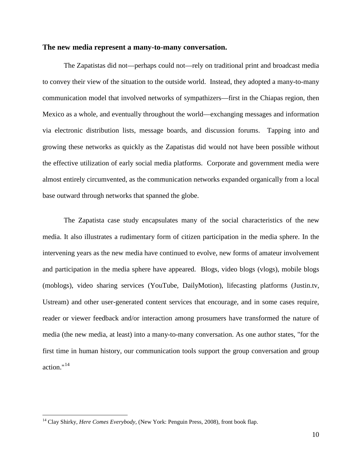#### <span id="page-17-0"></span>**The new media represent a many-to-many conversation.**

 The Zapatistas did not—perhaps could not—rely on traditional print and broadcast media to convey their view of the situation to the outside world. Instead, they adopted a many-to-many communication model that involved networks of sympathizers—first in the Chiapas region, then Mexico as a whole, and eventually throughout the world—exchanging messages and information via electronic distribution lists, message boards, and discussion forums. Tapping into and growing these networks as quickly as the Zapatistas did would not have been possible without the effective utilization of early social media platforms. Corporate and government media were almost entirely circumvented, as the communication networks expanded organically from a local base outward through networks that spanned the globe.

The Zapatista case study encapsulates many of the social characteristics of the new media. It also illustrates a rudimentary form of citizen participation in the media sphere. In the intervening years as the new media have continued to evolve, new forms of amateur involvement and participation in the media sphere have appeared. Blogs, video blogs (vlogs), mobile blogs (moblogs), video sharing services (YouTube, DailyMotion), lifecasting platforms (Justin.tv, Ustream) and other user-generated content services that encourage, and in some cases require, reader or viewer feedback and/or interaction among prosumers have transformed the nature of media (the new media, at least) into a many-to-many conversation. As one author states, "for the first time in human history, our communication tools support the group conversation and group action."<sup>[14](#page-17-1)</sup>

<span id="page-17-1"></span><sup>&</sup>lt;sup>14</sup> Clay Shirky, *Here Comes Everybody*, (New York: Penguin Press, 2008), front book flap.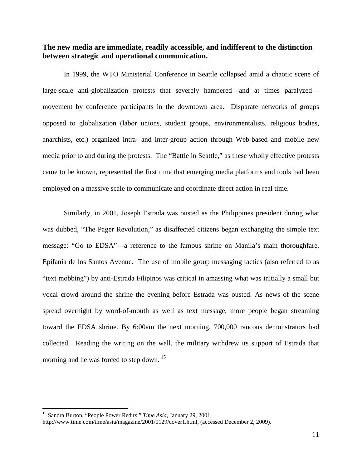#### <span id="page-18-0"></span>**The new media are immediate, readily accessible, and indifferent to the distinction between strategic and operational communication.**

In 1999, the WTO Ministerial Conference in Seattle collapsed amid a chaotic scene of large-scale anti-globalization protests that severely hampered—and at times paralyzed movement by conference participants in the downtown area. Disparate networks of groups opposed to globalization (labor unions, student groups, environmentalists, religious bodies, anarchists, etc.) organized intra- and inter-group action through Web-based and mobile new media prior to and during the protests. The "Battle in Seattle," as these wholly effective protests came to be known, represented the first time that emerging media platforms and tools had been employed on a massive scale to communicate and coordinate direct action in real time.

Similarly, in 2001, Joseph Estrada was ousted as the Philippines president during what was dubbed, "The Pager Revolution," as disaffected citizens began exchanging the simple text message: "Go to EDSA"—a reference to the famous shrine on Manila's main thoroughfare, Epifania de los Santos Avenue. The use of mobile group messaging tactics (also referred to as "text mobbing") by anti-Estrada Filipinos was critical in amassing what was initially a small but vocal crowd around the shrine the evening before Estrada was ousted. As news of the scene spread overnight by word-of-mouth as well as text message, more people began streaming toward the EDSA shrine. By 6:00am the next morning, 700,000 raucous demonstrators had collected. Reading the writing on the wall, the military withdrew its support of Estrada that morning and he was forced to step down.<sup>[15](#page-18-1)</sup>

<span id="page-18-1"></span><sup>&</sup>lt;sup>15</sup> Sandra Burton, "People Power Redux," *Time Asia*, January 29, 2001,

http://www.time.com/time/asia/magazine/2001/0129/cover1.html, (accessed December 2, 2009).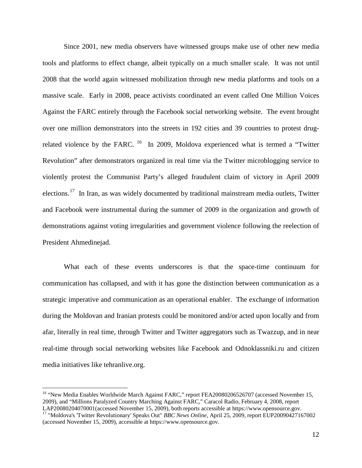Since 2001, new media observers have witnessed groups make use of other new media tools and platforms to effect change, albeit typically on a much smaller scale. It was not until 2008 that the world again witnessed mobilization through new media platforms and tools on a massive scale. Early in 2008, peace activists coordinated an event called One Million Voices Against the FARC entirely through the Facebook social networking website. The event brought over one million demonstrators into the streets in 192 cities and 39 countries to protest drugrelated violence by the FARC.  $^{16}$  In 2009, Moldova experienced what is termed a "Twitter" Revolution" after demonstrators organized in real time via the Twitter microblogging service to violently protest the Communist Party's alleged fraudulent claim of victory in April 2009 elections.<sup>[17](#page-19-1)</sup> In Iran, as was widely documented by traditional mainstream media outlets, Twitter and Facebook were instrumental during the summer of 2009 in the organization and growth of demonstrations against voting irregularities and government violence following the reelection of President Ahmedinejad.

What each of these events underscores is that the space-time continuum for communication has collapsed, and with it has gone the distinction between communication as a strategic imperative and communication as an operational enabler. The exchange of information during the Moldovan and Iranian protests could be monitored and/or acted upon locally and from afar, literally in real time, through Twitter and Twitter aggregators such as Twazzup, and in near real-time through social networking websites like Facebook and Odnoklassniki.ru and citizen media initiatives like tehranlive.org.

<span id="page-19-0"></span><sup>&</sup>lt;sup>16</sup> "New Media Enables Worldwide March Against FARC," report FEA20080206526707 (accessed November 15, 2009), and "Millions Paralyzed Country Marching Against FARC," Caracol Radio, February 4, 2008, report LAP20080204070001 (accessed November 15, 2009), both reports accessible at https://www.opensource.gov.

<span id="page-19-1"></span><sup>&</sup>lt;sup>17</sup> "Moldova's 'Twitter Revolutionary' Speaks Out" *BBC News Online*, April 25, 2009, report EUP20090427167002 (accessed November 15, 2009), accessible at https://www.opensource.gov.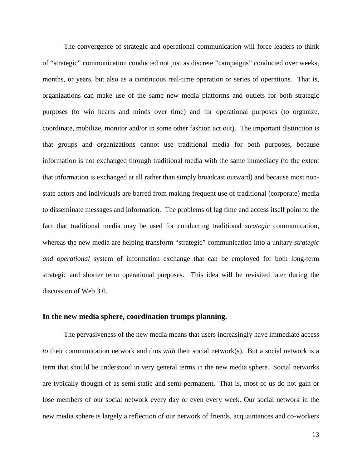The convergence of strategic and operational communication will force leaders to think of "strategic" communication conducted not just as discrete "campaigns" conducted over weeks, months, or years, but also as a continuous real-time operation or series of operations. That is, organizations can make use of the same new media platforms and outlets for both strategic purposes (to win hearts and minds over time) and for operational purposes (to organize, coordinate, mobilize, monitor and/or in some other fashion act out). The important distinction is that groups and organizations cannot use traditional media for both purposes, because information is not exchanged through traditional media with the same immediacy (to the extent that information is exchanged at all rather than simply broadcast outward) and because most nonstate actors and individuals are barred from making frequent use of traditional (corporate) media to disseminate messages and information. The problems of lag time and access itself point to the fact that traditional media may be used for conducting traditional *strategic* communication, whereas the new media are helping transform "strategic" communication into a unitary *strategic and operational* system of information exchange that can be employed for both long-term strategic and shorter term operational purposes. This idea will be revisited later during the discussion of Web 3.0.

#### <span id="page-20-0"></span>**In the new media sphere, coordination trumps planning.**

The pervasiveness of the new media means that users increasingly have immediate access *to* their communication network and thus *with* their social network(s). But a social network is a term that should be understood in very general terms in the new media sphere. Social networks are typically thought of as semi-static and semi-permanent. That is, most of us do not gain or lose members of our social network every day or even every week. Our social network in the new media sphere is largely a reflection of our network of friends, acquaintances and co-workers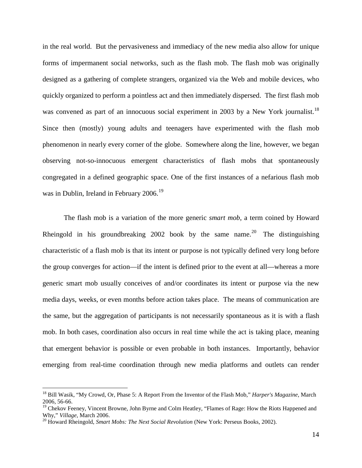in the real world. But the pervasiveness and immediacy of the new media also allow for unique forms of impermanent social networks, such as the flash mob. The flash mob was originally designed as a gathering of complete strangers, organized via the Web and mobile devices, who quickly organized to perform a pointless act and then immediately dispersed. The first flash mob was convened as part of an innocuous social experiment in 2003 by a New York journalist.<sup>[18](#page-21-0)</sup> Since then (mostly) young adults and teenagers have experimented with the flash mob phenomenon in nearly every corner of the globe. Somewhere along the line, however, we began observing not-so-innocuous emergent characteristics of flash mobs that spontaneously congregated in a defined geographic space. One of the first instances of a nefarious flash mob was in Dublin, Ireland in February 2006.<sup>[19](#page-21-1)</sup>

The flash mob is a variation of the more generic *smart mob*, a term coined by Howard Rheingold in his groundbreaking [20](#page-21-2)02 book by the same name.<sup>20</sup> The distinguishing characteristic of a flash mob is that its intent or purpose is not typically defined very long before the group converges for action—if the intent is defined prior to the event at all—whereas a more generic smart mob usually conceives of and/or coordinates its intent or purpose via the new media days, weeks, or even months before action takes place. The means of communication are the same, but the aggregation of participants is not necessarily spontaneous as it is with a flash mob. In both cases, coordination also occurs in real time while the act is taking place, meaning that emergent behavior is possible or even probable in both instances. Importantly, behavior emerging from real-time coordination through new media platforms and outlets can render

<span id="page-21-0"></span><sup>18</sup> Bill Wasik, "My Crowd, Or, Phase 5: A Report From the Inventor of the Flash Mob," *Harper's Magazine*, March 2006, 56-66.

<span id="page-21-1"></span><sup>&</sup>lt;sup>19</sup> Chekov Feeney, Vincent Browne, John Byrne and Colm Heatley, "Flames of Rage: How the Riots Happened and Why," *Village*, March 2006.

<span id="page-21-2"></span><sup>&</sup>lt;sup>20</sup> Howard Rheingold, *Smart Mobs: The Next Social Revolution* (New York: Perseus Books, 2002).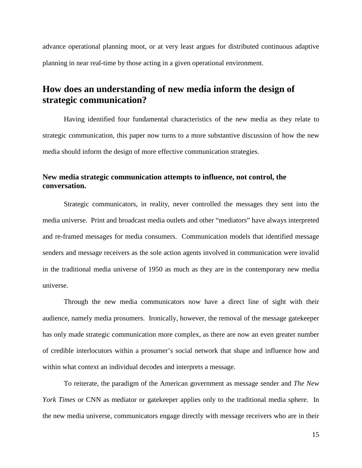advance operational planning moot, or at very least argues for distributed continuous adaptive planning in near real-time by those acting in a given operational environment.

## <span id="page-22-0"></span>**How does an understanding of new media inform the design of strategic communication?**

Having identified four fundamental characteristics of the new media as they relate to strategic communication, this paper now turns to a more substantive discussion of how the new media should inform the design of more effective communication strategies.

### <span id="page-22-1"></span>**New media strategic communication attempts to influence, not control, the conversation.**

Strategic communicators, in reality, never controlled the messages they sent into the media universe. Print and broadcast media outlets and other "mediators" have always interpreted and re-framed messages for media consumers. Communication models that identified message senders and message receivers as the sole action agents involved in communication were invalid in the traditional media universe of 1950 as much as they are in the contemporary new media universe.

Through the new media communicators now have a direct line of sight with their audience, namely media prosumers. Ironically, however, the removal of the message gatekeeper has only made strategic communication more complex, as there are now an even greater number of credible interlocutors within a prosumer's social network that shape and influence how and within what context an individual decodes and interprets a message.

To reiterate, the paradigm of the American government as message sender and *The New York Times* or CNN as mediator or gatekeeper applies only to the traditional media sphere. In the new media universe, communicators engage directly with message receivers who are in their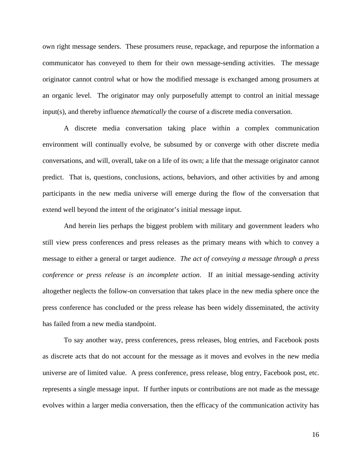own right message senders. These prosumers reuse, repackage, and repurpose the information a communicator has conveyed to them for their own message-sending activities. The message originator cannot control what or how the modified message is exchanged among prosumers at an organic level. The originator may only purposefully attempt to control an initial message input(s), and thereby influence *thematically* the course of a discrete media conversation.

A discrete media conversation taking place within a complex communication environment will continually evolve, be subsumed by or converge with other discrete media conversations, and will, overall, take on a life of its own; a life that the message originator cannot predict. That is, questions, conclusions, actions, behaviors, and other activities by and among participants in the new media universe will emerge during the flow of the conversation that extend well beyond the intent of the originator's initial message input.

And herein lies perhaps the biggest problem with military and government leaders who still view press conferences and press releases as the primary means with which to convey a message to either a general or target audience. *The act of conveying a message through a press conference or press release is an incomplete action*. If an initial message-sending activity altogether neglects the follow-on conversation that takes place in the new media sphere once the press conference has concluded or the press release has been widely disseminated, the activity has failed from a new media standpoint.

To say another way, press conferences, press releases, blog entries, and Facebook posts as discrete acts that do not account for the message as it moves and evolves in the new media universe are of limited value. A press conference, press release, blog entry, Facebook post, etc. represents a single message input. If further inputs or contributions are not made as the message evolves within a larger media conversation, then the efficacy of the communication activity has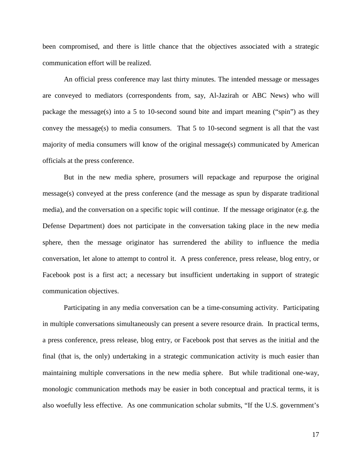been compromised, and there is little chance that the objectives associated with a strategic communication effort will be realized.

An official press conference may last thirty minutes. The intended message or messages are conveyed to mediators (correspondents from, say, Al-Jazirah or ABC News) who will package the message(s) into a 5 to 10-second sound bite and impart meaning ("spin") as they convey the message(s) to media consumers. That 5 to 10-second segment is all that the vast majority of media consumers will know of the original message(s) communicated by American officials at the press conference.

But in the new media sphere, prosumers will repackage and repurpose the original message(s) conveyed at the press conference (and the message as spun by disparate traditional media), and the conversation on a specific topic will continue. If the message originator (e.g. the Defense Department) does not participate in the conversation taking place in the new media sphere, then the message originator has surrendered the ability to influence the media conversation, let alone to attempt to control it. A press conference, press release, blog entry, or Facebook post is a first act; a necessary but insufficient undertaking in support of strategic communication objectives.

Participating in any media conversation can be a time-consuming activity. Participating in multiple conversations simultaneously can present a severe resource drain. In practical terms, a press conference, press release, blog entry, or Facebook post that serves as the initial and the final (that is, the only) undertaking in a strategic communication activity is much easier than maintaining multiple conversations in the new media sphere. But while traditional one-way, monologic communication methods may be easier in both conceptual and practical terms, it is also woefully less effective. As one communication scholar submits, "If the U.S. government's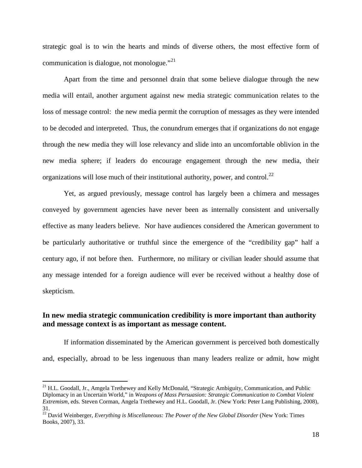strategic goal is to win the hearts and minds of diverse others, the most effective form of communication is dialogue, not monologue."[21](#page-25-1)

Apart from the time and personnel drain that some believe dialogue through the new media will entail, another argument against new media strategic communication relates to the loss of message control: the new media permit the corruption of messages as they were intended to be decoded and interpreted. Thus, the conundrum emerges that if organizations do not engage through the new media they will lose relevancy and slide into an uncomfortable oblivion in the new media sphere; if leaders do encourage engagement through the new media, their organizations will lose much of their institutional authority, power, and control.<sup>[22](#page-25-2)</sup>

Yet, as argued previously, message control has largely been a chimera and messages conveyed by government agencies have never been as internally consistent and universally effective as many leaders believe. Nor have audiences considered the American government to be particularly authoritative or truthful since the emergence of the "credibility gap" half a century ago, if not before then. Furthermore, no military or civilian leader should assume that any message intended for a foreign audience will ever be received without a healthy dose of skepticism.

### <span id="page-25-0"></span>**In new media strategic communication credibility is more important than authority and message context is as important as message content.**

If information disseminated by the American government is perceived both domestically and, especially, abroad to be less ingenuous than many leaders realize or admit, how might

<span id="page-25-1"></span><sup>&</sup>lt;sup>21</sup> H.L. Goodall, Jr., Amgela Trethewey and Kelly McDonald, "Strategic Ambiguity, Communication, and Public Diplomacy in an Uncertain World," in *Weapons of Mass Persuasion: Strategic Communication to Combat Violent Extremism,* eds. Steven Corman, Angela Trethewey and H.L. Goodall, Jr. (New York: Peter Lang Publishing, 2008),

<span id="page-25-2"></span><sup>31. 22</sup> David Weinberger, *Everything is Miscellaneous: The Power of the New Global Disorder* (New York: Times Books, 2007), 33.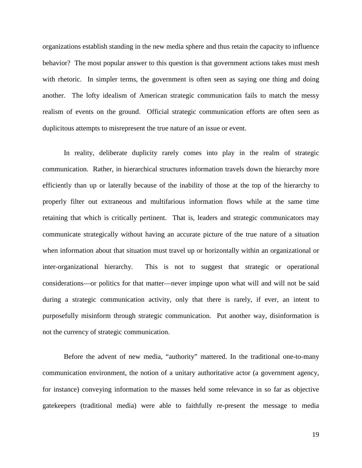organizations establish standing in the new media sphere and thus retain the capacity to influence behavior? The most popular answer to this question is that government actions takes must mesh with rhetoric. In simpler terms, the government is often seen as saying one thing and doing another. The lofty idealism of American strategic communication fails to match the messy realism of events on the ground. Official strategic communication efforts are often seen as duplicitous attempts to misrepresent the true nature of an issue or event.

In reality, deliberate duplicity rarely comes into play in the realm of strategic communication. Rather, in hierarchical structures information travels down the hierarchy more efficiently than up or laterally because of the inability of those at the top of the hierarchy to properly filter out extraneous and multifarious information flows while at the same time retaining that which is critically pertinent. That is, leaders and strategic communicators may communicate strategically without having an accurate picture of the true nature of a situation when information about that situation must travel up or horizontally within an organizational or inter-organizational hierarchy. This is not to suggest that strategic or operational considerations—or politics for that matter—never impinge upon what will and will not be said during a strategic communication activity, only that there is rarely, if ever, an intent to purposefully misinform through strategic communication. Put another way, disinformation is not the currency of strategic communication.

Before the advent of new media, "authority" mattered. In the traditional one-to-many communication environment, the notion of a unitary authoritative actor (a government agency, for instance) conveying information to the masses held some relevance in so far as objective gatekeepers (traditional media) were able to faithfully re-present the message to media

19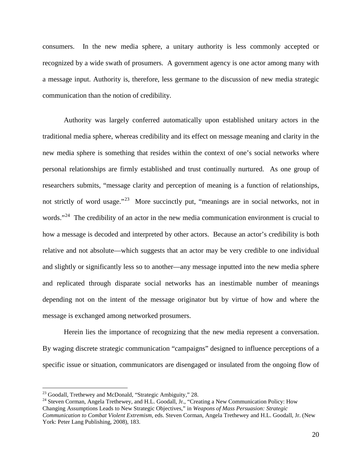consumers. In the new media sphere, a unitary authority is less commonly accepted or recognized by a wide swath of prosumers. A government agency is one actor among many with a message input. Authority is, therefore, less germane to the discussion of new media strategic communication than the notion of credibility.

Authority was largely conferred automatically upon established unitary actors in the traditional media sphere, whereas credibility and its effect on message meaning and clarity in the new media sphere is something that resides within the context of one's social networks where personal relationships are firmly established and trust continually nurtured. As one group of researchers submits, "message clarity and perception of meaning is a function of relationships, not strictly of word usage."<sup>[23](#page-27-0)</sup> More succinctly put, "meanings are in social networks, not in words."<sup>[24](#page-27-1)</sup> The credibility of an actor in the new media communication environment is crucial to how a message is decoded and interpreted by other actors. Because an actor's credibility is both relative and not absolute—which suggests that an actor may be very credible to one individual and slightly or significantly less so to another—any message inputted into the new media sphere and replicated through disparate social networks has an inestimable number of meanings depending not on the intent of the message originator but by virtue of how and where the message is exchanged among networked prosumers.

Herein lies the importance of recognizing that the new media represent a conversation. By waging discrete strategic communication "campaigns" designed to influence perceptions of a specific issue or situation, communicators are disengaged or insulated from the ongoing flow of

<span id="page-27-0"></span><sup>&</sup>lt;sup>23</sup> Goodall, Trethewey and McDonald, "Strategic Ambiguity," 28.

<span id="page-27-1"></span><sup>&</sup>lt;sup>24</sup> Steven Corman, Angela Trethewey, and H.L. Goodall, Jr., "Creating a New Communication Policy: How Changing Assumptions Leads to New Strategic Objectives," in *Weapons of Mass Persuasion: Strategic Communication to Combat Violent Extremism,* eds. Steven Corman, Angela Trethewey and H.L. Goodall, Jr. (New York: Peter Lang Publishing, 2008), 183.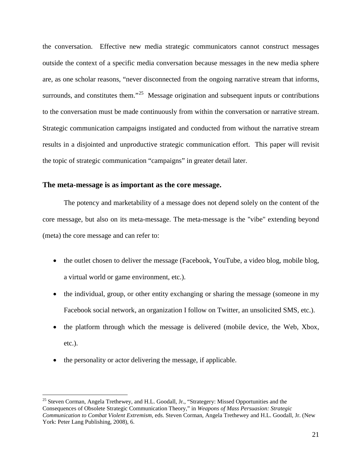the conversation. Effective new media strategic communicators cannot construct messages outside the context of a specific media conversation because messages in the new media sphere are, as one scholar reasons, "never disconnected from the ongoing narrative stream that informs, surrounds, and constitutes them."<sup>[25](#page-28-1)</sup> Message origination and subsequent inputs or contributions to the conversation must be made continuously from within the conversation or narrative stream. Strategic communication campaigns instigated and conducted from without the narrative stream results in a disjointed and unproductive strategic communication effort. This paper will revisit the topic of strategic communication "campaigns" in greater detail later.

#### <span id="page-28-0"></span>**The meta-message is as important as the core message.**

The potency and marketability of a message does not depend solely on the content of the core message, but also on its meta-message. The meta-message is the "vibe" extending beyond (meta) the core message and can refer to:

- the outlet chosen to deliver the message (Facebook, YouTube, a video blog, mobile blog, a virtual world or game environment, etc.).
- the individual, group, or other entity exchanging or sharing the message (someone in my Facebook social network, an organization I follow on Twitter, an unsolicited SMS, etc.).
- the platform through which the message is delivered (mobile device, the Web, Xbox, etc.).
- the personality or actor delivering the message, if applicable.

<span id="page-28-1"></span><sup>&</sup>lt;sup>25</sup> Steven Corman, Angela Trethewey, and H.L. Goodall, Jr., "Strategery: Missed Opportunities and the Consequences of Obsolete Strategic Communication Theory," in *Weapons of Mass Persuasion: Strategic Communication to Combat Violent Extremism,* eds. Steven Corman, Angela Trethewey and H.L. Goodall, Jr. (New York: Peter Lang Publishing, 2008), 6.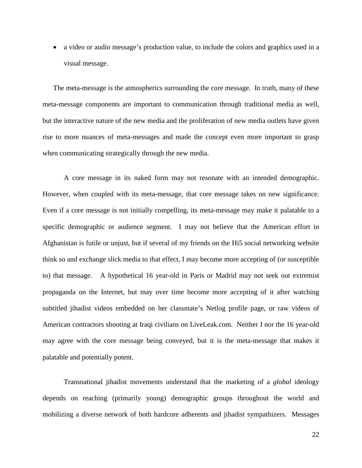• a video or audio message's production value, to include the colors and graphics used in a visual message.

The meta-message is the atmospherics surrounding the core message. In truth, many of these meta-message components are important to communication through traditional media as well, but the interactive nature of the new media and the proliferation of new media outlets have given rise to more nuances of meta-messages and made the concept even more important to grasp when communicating strategically through the new media.

A core message in its naked form may not resonate with an intended demographic. However, when coupled with its meta-message, that core message takes on new significance. Even if a core message is not initially compelling, its meta-message may make it palatable to a specific demographic or audience segment. I may not believe that the American effort in Afghanistan is futile or unjust, but if several of my friends on the Hi5 social networking website think so and exchange slick media to that effect, I may become more accepting of (or susceptible to) that message. A hypothetical 16 year-old in Paris or Madrid may not seek out extremist propaganda on the Internet, but may over time become more accepting of it after watching subtitled jihadist videos embedded on her classmate's Netlog profile page, or raw videos of American contractors shooting at Iraqi civilians on LiveLeak.com. Neither I nor the 16 year-old may agree with the core message being conveyed, but it is the meta-message that makes it palatable and potentially potent.

Transnational jihadist movements understand that the marketing of a *global* ideology depends on reaching (primarily young) demographic groups throughout the world and mobilizing a diverse network of both hardcore adherents and jihadist sympathizers. Messages

22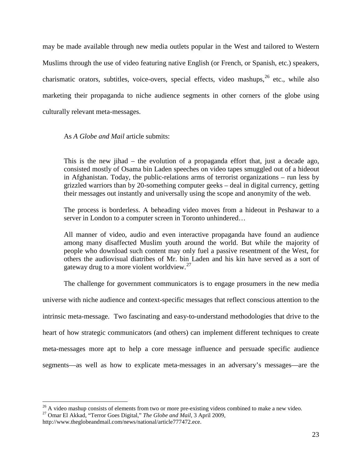may be made available through new media outlets popular in the West and tailored to Western Muslims through the use of video featuring native English (or French, or Spanish, etc.) speakers, charismatic orators, subtitles, voice-overs, special effects, video mashups, [26](#page-30-0) etc., while also marketing their propaganda to niche audience segments in other corners of the globe using culturally relevant meta-messages.

As *A Globe and Mail* article submits:

This is the new jihad – the evolution of a propaganda effort that, just a decade ago, consisted mostly of Osama bin Laden speeches on video tapes smuggled out of a hideout in Afghanistan. Today, the public-relations arms of terrorist organizations – run less by grizzled warriors than by 20-something computer geeks – deal in digital currency, getting their messages out instantly and universally using the scope and anonymity of the web.

The process is borderless. A beheading video moves from a hideout in Peshawar to a server in London to a computer screen in Toronto unhindered…

All manner of video, audio and even interactive propaganda have found an audience among many disaffected Muslim youth around the world. But while the majority of people who download such content may only fuel a passive resentment of the West, for others the audiovisual diatribes of Mr. bin Laden and his kin have served as a sort of gateway drug to a more violent worldview.<sup>[27](#page-30-1)</sup>

The challenge for government communicators is to engage prosumers in the new media

universe with niche audience and context-specific messages that reflect conscious attention to the intrinsic meta-message. Two fascinating and easy-to-understand methodologies that drive to the heart of how strategic communicators (and others) can implement different techniques to create meta-messages more apt to help a core message influence and persuade specific audience segments—as well as how to explicate meta-messages in an adversary's messages—are the

<span id="page-30-0"></span><sup>&</sup>lt;sup>26</sup> A video mashup consists of elements from two or more pre-existing videos combined to make a new video.<br><sup>27</sup> Omar El Akkad, "Terror Goes Digital," *The Globe and Mail*, 3 April 2009,

<span id="page-30-1"></span>

http://www.theglobeandmail.com/news/national/article777472.ece.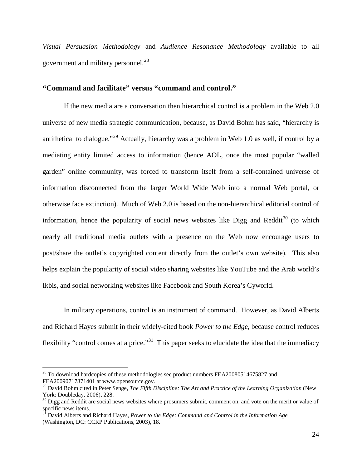*Visual Persuasion Methodology* and *Audience Resonance Methodology* available to all government and military personnel.<sup>[28](#page-31-1)</sup>

#### <span id="page-31-0"></span>**"Command and facilitate" versus "command and control."**

If the new media are a conversation then hierarchical control is a problem in the Web 2.0 universe of new media strategic communication, because, as David Bohm has said, "hierarchy is antithetical to dialogue."<sup>[29](#page-31-2)</sup> Actually, hierarchy was a problem in Web 1.0 as well, if control by a mediating entity limited access to information (hence AOL, once the most popular "walled garden" online community, was forced to transform itself from a self-contained universe of information disconnected from the larger World Wide Web into a normal Web portal, or otherwise face extinction). Much of Web 2.0 is based on the non-hierarchical editorial control of information, hence the popularity of social news websites like Digg and Reddit<sup>[30](#page-31-3)</sup> (to which nearly all traditional media outlets with a presence on the Web now encourage users to post/share the outlet's copyrighted content directly from the outlet's own website). This also helps explain the popularity of social video sharing websites like YouTube and the Arab world's Ikbis, and social networking websites like Facebook and South Korea's Cyworld.

In military operations, control is an instrument of command. However, as David Alberts and Richard Hayes submit in their widely-cited book *Power to the Edge*, because control reduces flexibility "control comes at a price."<sup>[31](#page-31-4)</sup> This paper seeks to elucidate the idea that the immediacy

<span id="page-31-1"></span> $^{28}$  To download hardcopies of these methodologies see product numbers FEA20080514675827 and FEA20090717871401 at www.opensource.gov.

<span id="page-31-2"></span><sup>&</sup>lt;sup>29</sup> David Bohm cited in Peter Senge, *The Fifth Discipline: The Art and Practice of the Learning Organization* (New York: Doubleday, 2006), 228.

<span id="page-31-3"></span> $30$  Digg and Reddit are social news websites where prosumers submit, comment on, and vote on the merit or value of specific news items.

<span id="page-31-4"></span><sup>&</sup>lt;sup>3I</sup> David Alberts and Richard Hayes, *Power to the Edge: Command and Control in the Information Age* (Washington, DC: CCRP Publications, 2003), 18.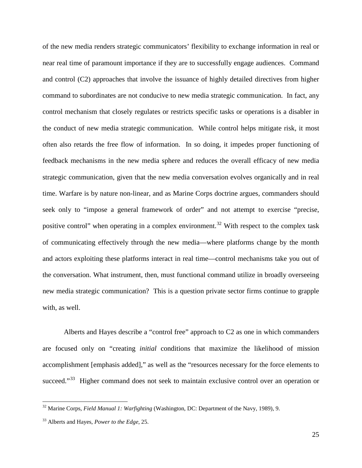of the new media renders strategic communicators' flexibility to exchange information in real or near real time of paramount importance if they are to successfully engage audiences. Command and control (C2) approaches that involve the issuance of highly detailed directives from higher command to subordinates are not conducive to new media strategic communication. In fact, any control mechanism that closely regulates or restricts specific tasks or operations is a disabler in the conduct of new media strategic communication. While control helps mitigate risk, it most often also retards the free flow of information. In so doing, it impedes proper functioning of feedback mechanisms in the new media sphere and reduces the overall efficacy of new media strategic communication, given that the new media conversation evolves organically and in real time. Warfare is by nature non-linear, and as Marine Corps doctrine argues, commanders should seek only to "impose a general framework of order" and not attempt to exercise "precise, positive control" when operating in a complex environment.<sup>[32](#page-32-0)</sup> With respect to the complex task of communicating effectively through the new media—where platforms change by the month and actors exploiting these platforms interact in real time—control mechanisms take you out of the conversation. What instrument, then, must functional command utilize in broadly overseeing new media strategic communication? This is a question private sector firms continue to grapple with, as well.

Alberts and Hayes describe a "control free" approach to C2 as one in which commanders are focused only on "creating *initial* conditions that maximize the likelihood of mission accomplishment [emphasis added]," as well as the "resources necessary for the force elements to succeed."<sup>[33](#page-32-1)</sup> Higher command does not seek to maintain exclusive control over an operation or

<span id="page-32-0"></span><sup>32</sup> Marine Corps, *Field Manual 1: Warfighting* (Washington, DC: Department of the Navy, 1989), 9.

<span id="page-32-1"></span><sup>33</sup> Alberts and Hayes, *Power to the Edge*, 25.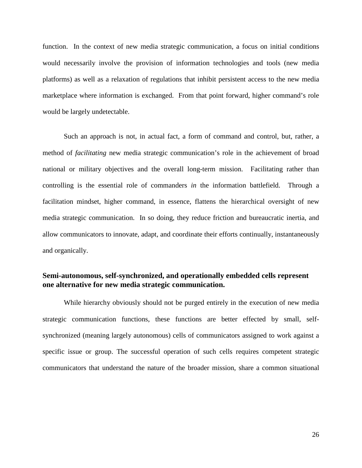function. In the context of new media strategic communication, a focus on initial conditions would necessarily involve the provision of information technologies and tools (new media platforms) as well as a relaxation of regulations that inhibit persistent access to the new media marketplace where information is exchanged. From that point forward, higher command's role would be largely undetectable.

Such an approach is not, in actual fact, a form of command and control, but, rather, a method of *facilitating* new media strategic communication's role in the achievement of broad national or military objectives and the overall long-term mission. Facilitating rather than controlling is the essential role of commanders *in* the information battlefield. Through a facilitation mindset, higher command, in essence, flattens the hierarchical oversight of new media strategic communication. In so doing, they reduce friction and bureaucratic inertia, and allow communicators to innovate, adapt, and coordinate their efforts continually, instantaneously and organically.

### <span id="page-33-0"></span>**Semi-autonomous, self-synchronized, and operationally embedded cells represent one alternative for new media strategic communication.**

While hierarchy obviously should not be purged entirely in the execution of new media strategic communication functions, these functions are better effected by small, selfsynchronized (meaning largely autonomous) cells of communicators assigned to work against a specific issue or group. The successful operation of such cells requires competent strategic communicators that understand the nature of the broader mission, share a common situational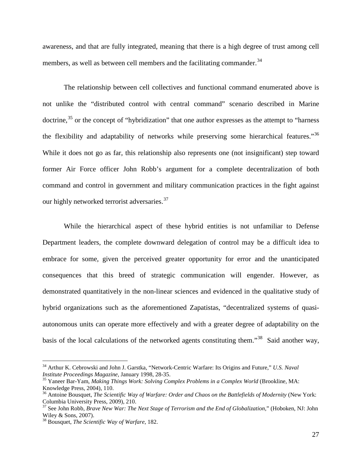awareness, and that are fully integrated, meaning that there is a high degree of trust among cell members, as well as between cell members and the facilitating commander.<sup>[34](#page-34-0)</sup>

The relationship between cell collectives and functional command enumerated above is not unlike the "distributed control with central command" scenario described in Marine doctrine,<sup>[35](#page-34-1)</sup> or the concept of "hybridization" that one author expresses as the attempt to "harness" the flexibility and adaptability of networks while preserving some hierarchical features."<sup>[36](#page-34-2)</sup> While it does not go as far, this relationship also represents one (not insignificant) step toward former Air Force officer John Robb's argument for a complete decentralization of both command and control in government and military communication practices in the fight against our highly networked terrorist adversaries.<sup>[37](#page-34-3)</sup>

While the hierarchical aspect of these hybrid entities is not unfamiliar to Defense Department leaders, the complete downward delegation of control may be a difficult idea to embrace for some, given the perceived greater opportunity for error and the unanticipated consequences that this breed of strategic communication will engender. However, as demonstrated quantitatively in the non-linear sciences and evidenced in the qualitative study of hybrid organizations such as the aforementioned Zapatistas, "decentralized systems of quasiautonomous units can operate more effectively and with a greater degree of adaptability on the basis of the local calculations of the networked agents constituting them."<sup>[38](#page-34-4)</sup> Said another way,

<span id="page-34-0"></span><sup>34</sup> Arthur K. Cebrowski and John J. Garstka, "Network-Centric Warfare: Its Origins and Future," *U.S. Naval Institute Proceedings Magazine,* January 1998, 28-35.

<span id="page-34-1"></span><sup>&</sup>lt;sup>35</sup> Yaneer Bar-Yam, *Making Things Work: Solving Complex Problems in a Complex World* (Brookline, MA: Knowledge Press, 2004), 110.

<span id="page-34-2"></span><sup>&</sup>lt;sup>36</sup> Antoine Bousquet, *The Scientific Way of Warfare: Order and Chaos on the Battlefields of Modernity* (New York: Columbia University Press, 2009), 210.

<span id="page-34-3"></span><sup>&</sup>lt;sup>37</sup> See John Robb, *Brave New War: The Next Stage of Terrorism and the End of Globalization*," (Hoboken, NJ: John Wiley & Sons, 2007).

<span id="page-34-4"></span><sup>&</sup>lt;sup>38</sup> Bousquet, *The Scientific Way of Warfare*, 182.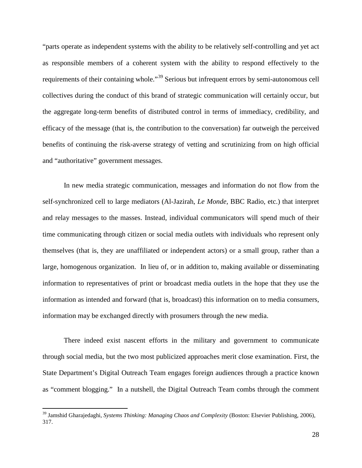"parts operate as independent systems with the ability to be relatively self-controlling and yet act as responsible members of a coherent system with the ability to respond effectively to the requirements of their containing whole."<sup>[39](#page-35-0)</sup> Serious but infrequent errors by semi-autonomous cell collectives during the conduct of this brand of strategic communication will certainly occur, but the aggregate long-term benefits of distributed control in terms of immediacy, credibility, and efficacy of the message (that is, the contribution to the conversation) far outweigh the perceived benefits of continuing the risk-averse strategy of vetting and scrutinizing from on high official and "authoritative" government messages.

In new media strategic communication, messages and information do not flow from the self-synchronized cell to large mediators (Al-Jazirah, *Le Monde*, BBC Radio, etc.) that interpret and relay messages to the masses. Instead, individual communicators will spend much of their time communicating through citizen or social media outlets with individuals who represent only themselves (that is, they are unaffiliated or independent actors) or a small group, rather than a large, homogenous organization. In lieu of, or in addition to, making available or disseminating information to representatives of print or broadcast media outlets in the hope that they use the information as intended and forward (that is, broadcast) this information on to media consumers, information may be exchanged directly with prosumers through the new media.

There indeed exist nascent efforts in the military and government to communicate through social media, but the two most publicized approaches merit close examination. First, the State Department's Digital Outreach Team engages foreign audiences through a practice known as "comment blogging." In a nutshell, the Digital Outreach Team combs through the comment

<span id="page-35-0"></span><sup>39</sup> Jamshid Gharajedaghi, *Systems Thinking: Managing Chaos and Complexity* (Boston: Elsevier Publishing, 2006), 317.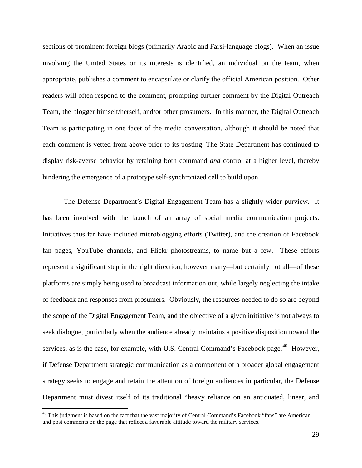sections of prominent foreign blogs (primarily Arabic and Farsi-language blogs). When an issue involving the United States or its interests is identified, an individual on the team, when appropriate, publishes a comment to encapsulate or clarify the official American position. Other readers will often respond to the comment, prompting further comment by the Digital Outreach Team, the blogger himself/herself, and/or other prosumers. In this manner, the Digital Outreach Team is participating in one facet of the media conversation, although it should be noted that each comment is vetted from above prior to its posting. The State Department has continued to display risk-averse behavior by retaining both command *and* control at a higher level, thereby hindering the emergence of a prototype self-synchronized cell to build upon.

The Defense Department's Digital Engagement Team has a slightly wider purview. It has been involved with the launch of an array of social media communication projects. Initiatives thus far have included microblogging efforts (Twitter), and the creation of Facebook fan pages, YouTube channels, and Flickr photostreams, to name but a few. These efforts represent a significant step in the right direction, however many—but certainly not all—of these platforms are simply being used to broadcast information out, while largely neglecting the intake of feedback and responses from prosumers. Obviously, the resources needed to do so are beyond the scope of the Digital Engagement Team, and the objective of a given initiative is not always to seek dialogue, particularly when the audience already maintains a positive disposition toward the services, as is the case, for example, with U.S. Central Command's Facebook page.<sup>[40](#page-36-0)</sup> However, if Defense Department strategic communication as a component of a broader global engagement strategy seeks to engage and retain the attention of foreign audiences in particular, the Defense Department must divest itself of its traditional "heavy reliance on an antiquated, linear, and

<span id="page-36-0"></span><sup>&</sup>lt;sup>40</sup> This judgment is based on the fact that the vast majority of Central Command's Facebook "fans" are American and post comments on the page that reflect a favorable attitude toward the military services.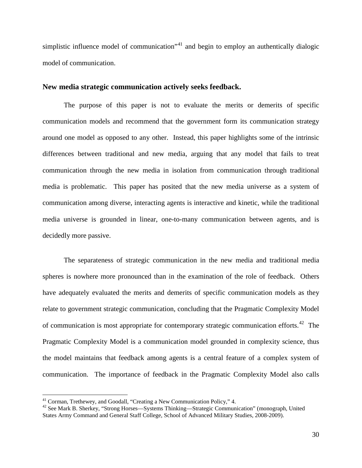simplistic influence model of communication"<sup>[41](#page-37-1)</sup> and begin to employ an authentically dialogic model of communication.

#### <span id="page-37-0"></span>**New media strategic communication actively seeks feedback.**

The purpose of this paper is not to evaluate the merits or demerits of specific communication models and recommend that the government form its communication strategy around one model as opposed to any other. Instead, this paper highlights some of the intrinsic differences between traditional and new media, arguing that any model that fails to treat communication through the new media in isolation from communication through traditional media is problematic. This paper has posited that the new media universe as a system of communication among diverse, interacting agents is interactive and kinetic, while the traditional media universe is grounded in linear, one-to-many communication between agents, and is decidedly more passive.

The separateness of strategic communication in the new media and traditional media spheres is nowhere more pronounced than in the examination of the role of feedback. Others have adequately evaluated the merits and demerits of specific communication models as they relate to government strategic communication, concluding that the Pragmatic Complexity Model of communication is most appropriate for contemporary strategic communication efforts.<sup>[42](#page-37-2)</sup> The Pragmatic Complexity Model is a communication model grounded in complexity science, thus the model maintains that feedback among agents is a central feature of a complex system of communication. The importance of feedback in the Pragmatic Complexity Model also calls

<span id="page-37-1"></span><sup>&</sup>lt;sup>41</sup> Corman, Trethewey, and Goodall, "Creating a New Communication Policy," 4.

<span id="page-37-2"></span><sup>&</sup>lt;sup>42</sup> See Mark B. Sherkey, "Strong Horses—Systems Thinking—Strategic Communication" (monograph, United States Army Command and General Staff College, School of Advanced Military Studies, 2008-2009).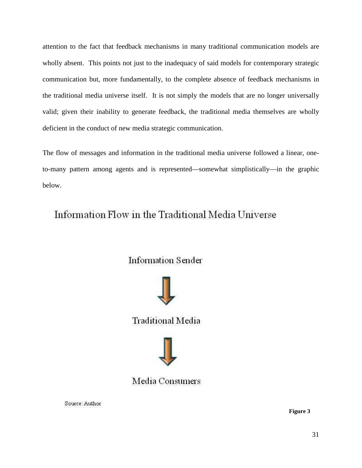attention to the fact that feedback mechanisms in many traditional communication models are wholly absent. This points not just to the inadequacy of said models for contemporary strategic communication but, more fundamentally, to the complete absence of feedback mechanisms in the traditional media universe itself. It is not simply the models that are no longer universally valid; given their inability to generate feedback, the traditional media themselves are wholly deficient in the conduct of new media strategic communication.

The flow of messages and information in the traditional media universe followed a linear, oneto-many pattern among agents and is represented—somewhat simplistically—in the graphic below.

# Information Flow in the Traditional Media Universe

**Information Sender** 

<span id="page-38-0"></span>

**Traditional Media** 



## Media Consumers

Source: Author

**Figure 3**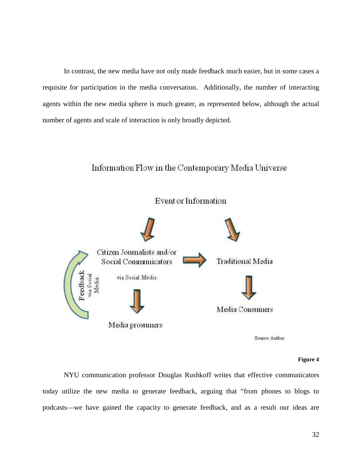In contrast, the new media have not only made feedback much easier, but in some cases a requisite for participation in the media conversation. Additionally, the number of interacting agents within the new media sphere is much greater, as represented below, although the actual number of agents and scale of interaction is only broadly depicted.

### Information Flow in the Contemporary Media Universe



#### **Figure 4**

<span id="page-39-0"></span>NYU communication professor Douglas Rushkoff writes that effective communicators today utilize the new media to generate feedback, arguing that "from phones to blogs to podcasts—we have gained the capacity to generate feedback, and as a result our ideas are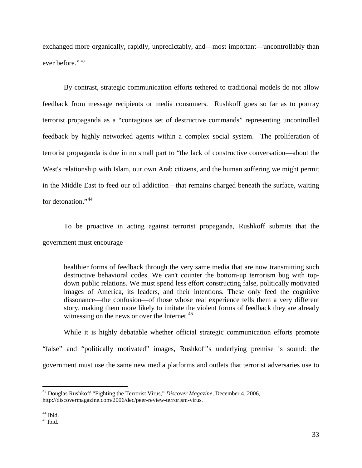exchanged more organically, rapidly, unpredictably, and—most important—uncontrollably than ever before." [43](#page-40-0)

By contrast, strategic communication efforts tethered to traditional models do not allow feedback from message recipients or media consumers. Rushkoff goes so far as to portray terrorist propaganda as a "contagious set of destructive commands" representing uncontrolled feedback by highly networked agents within a complex social system. The proliferation of terrorist propaganda is due in no small part to "the lack of constructive conversation—about the West's relationship with Islam, our own Arab citizens, and the human suffering we might permit in the Middle East to feed our oil addiction—that remains charged beneath the surface, waiting for detonation."<sup>[44](#page-40-1)</sup>

To be proactive in acting against terrorist propaganda, Rushkoff submits that the government must encourage

healthier forms of feedback through the very same media that are now transmitting such destructive behavioral codes. We can't counter the bottom-up terrorism bug with topdown public relations. We must spend less effort constructing false, politically motivated images of America, its leaders, and their intentions. These only feed the cognitive dissonance—the confusion—of those whose real experience tells them a very different story, making them more likely to imitate the violent forms of feedback they are already witnessing on the news or over the Internet.<sup>[45](#page-40-2)</sup>

While it is highly debatable whether official strategic communication efforts promote "false" and "politically motivated" images, Rushkoff's underlying premise is sound: the government must use the same new media platforms and outlets that terrorist adversaries use to

<span id="page-40-0"></span><sup>43</sup> Douglas Rushkoff "Fighting the Terrorist Virus," *Discover Magazine*, December 4, 2006, http://discovermagazine.com/2006/dec/peer-review-terrorism-virus.

<span id="page-40-2"></span><span id="page-40-1"></span>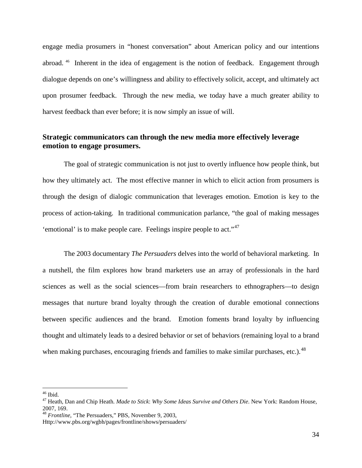engage media prosumers in "honest conversation" about American policy and our intentions abroad. [46](#page-41-1) Inherent in the idea of engagement is the notion of feedback. Engagement through dialogue depends on one's willingness and ability to effectively solicit, accept, and ultimately act upon prosumer feedback. Through the new media, we today have a much greater ability to harvest feedback than ever before; it is now simply an issue of will.

### <span id="page-41-0"></span>**Strategic communicators can through the new media more effectively leverage emotion to engage prosumers.**

The goal of strategic communication is not just to overtly influence how people think, but how they ultimately act. The most effective manner in which to elicit action from prosumers is through the design of dialogic communication that leverages emotion. Emotion is key to the process of action-taking. In traditional communication parlance, "the goal of making messages 'emotional' is to make people care. Feelings inspire people to act."[47](#page-41-2)

The 2003 documentary *The Persuaders* delves into the world of behavioral marketing. In a nutshell, the film explores how brand marketers use an array of professionals in the hard sciences as well as the social sciences—from brain researchers to ethnographers—to design messages that nurture brand loyalty through the creation of durable emotional connections between specific audiences and the brand. Emotion foments brand loyalty by influencing thought and ultimately leads to a desired behavior or set of behaviors (remaining loyal to a brand when making purchases, encouraging friends and families to make similar purchases, etc.).<sup>[48](#page-41-3)</sup>

<span id="page-41-1"></span> $46$  Ibid

<span id="page-41-2"></span><sup>&</sup>lt;sup>47</sup> Heath, Dan and Chip Heath. *Made to Stick*: *Why Some Ideas Survive and Others Die*. New York: Random House, 2007, 169.

<span id="page-41-3"></span><sup>2007, 169.</sup> <sup>48</sup> *Frontline*, "The Persuaders," PBS, November 9, 2003,

Http://www.pbs.org/wgbh/pages/frontline/shows/persuaders/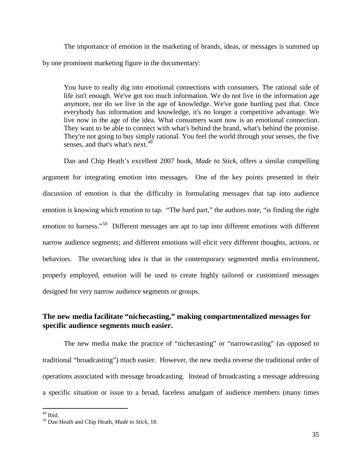The importance of emotion in the marketing of brands, ideas, or messages is summed up by one prominent marketing figure in the documentary:

You have to really dig into emotional connections with consumers. The rational side of life isn't enough. We've got too much information. We do not live in the information age anymore, nor do we live in the age of knowledge. We've gone hurtling past that. Once everybody has information and knowledge, it's no longer a competitive advantage. We live now in the age of the idea. What consumers want now is an emotional connection. They want to be able to connect with what's behind the brand, what's behind the promise. They're not going to buy simply rational. You feel the world through your senses, the five senses, and that's what's next.<sup>[49](#page-42-1)</sup>

Dan and Chip Heath's excellent 2007 book, *Made to Stick*, offers a similar compelling argument for integrating emotion into messages. One of the key points presented in their discussion of emotion is that the difficulty in formulating messages that tap into audience emotion is knowing which emotion to tap. "The hard part," the authors note, "is finding the right emotion to harness."<sup>[50](#page-42-2)</sup> Different messages are apt to tap into different emotions with different narrow audience segments; and different emotions will elicit very different thoughts, actions, or behaviors. The overarching idea is that in the contemporary segmented media environment, properly employed, emotion will be used to create highly tailored or customized messages designed for very narrow audience segments or groups.

### <span id="page-42-0"></span>**The new media facilitate "nichecasting," making compartmentalized messages for specific audience segments much easier.**

The new media make the practice of "nichecasting" or "narrowcasting" (as opposed to traditional "broadcasting") much easier. However, the new media reverse the traditional order of operations associated with message broadcasting. Instead of broadcasting a message addressing a specific situation or issue to a broad, faceless amalgam of audience members (many times

<span id="page-42-1"></span> $49$  Ibid

<span id="page-42-2"></span><sup>&</sup>lt;sup>50</sup> Dan Heath and Chip Heath, *Made to Stick*, 18.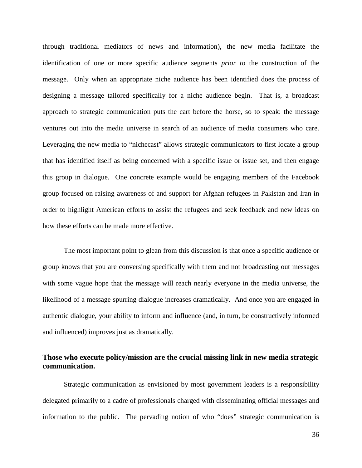through traditional mediators of news and information), the new media facilitate the identification of one or more specific audience segments *prior to* the construction of the message. Only when an appropriate niche audience has been identified does the process of designing a message tailored specifically for a niche audience begin. That is, a broadcast approach to strategic communication puts the cart before the horse, so to speak: the message ventures out into the media universe in search of an audience of media consumers who care. Leveraging the new media to "nichecast" allows strategic communicators to first locate a group that has identified itself as being concerned with a specific issue or issue set, and then engage this group in dialogue. One concrete example would be engaging members of the Facebook group focused on raising awareness of and support for Afghan refugees in Pakistan and Iran in order to highlight American efforts to assist the refugees and seek feedback and new ideas on how these efforts can be made more effective.

The most important point to glean from this discussion is that once a specific audience or group knows that you are conversing specifically with them and not broadcasting out messages with some vague hope that the message will reach nearly everyone in the media universe, the likelihood of a message spurring dialogue increases dramatically. And once you are engaged in authentic dialogue, your ability to inform and influence (and, in turn, be constructively informed and influenced) improves just as dramatically.

### <span id="page-43-0"></span>**Those who execute policy/mission are the crucial missing link in new media strategic communication.**

Strategic communication as envisioned by most government leaders is a responsibility delegated primarily to a cadre of professionals charged with disseminating official messages and information to the public. The pervading notion of who "does" strategic communication is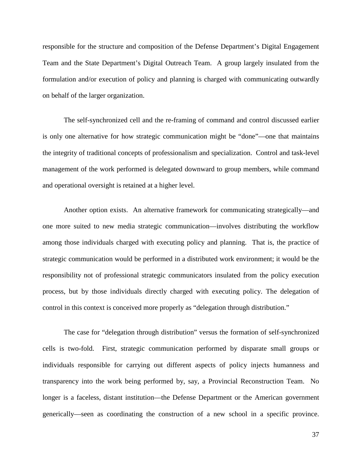responsible for the structure and composition of the Defense Department's Digital Engagement Team and the State Department's Digital Outreach Team. A group largely insulated from the formulation and/or execution of policy and planning is charged with communicating outwardly on behalf of the larger organization.

The self-synchronized cell and the re-framing of command and control discussed earlier is only one alternative for how strategic communication might be "done"—one that maintains the integrity of traditional concepts of professionalism and specialization. Control and task-level management of the work performed is delegated downward to group members, while command and operational oversight is retained at a higher level.

Another option exists. An alternative framework for communicating strategically—and one more suited to new media strategic communication—involves distributing the workflow among those individuals charged with executing policy and planning. That is, the practice of strategic communication would be performed in a distributed work environment; it would be the responsibility not of professional strategic communicators insulated from the policy execution process, but by those individuals directly charged with executing policy. The delegation of control in this context is conceived more properly as "delegation through distribution."

The case for "delegation through distribution" versus the formation of self-synchronized cells is two-fold. First, strategic communication performed by disparate small groups or individuals responsible for carrying out different aspects of policy injects humanness and transparency into the work being performed by, say, a Provincial Reconstruction Team. No longer is a faceless, distant institution—the Defense Department or the American government generically—seen as coordinating the construction of a new school in a specific province.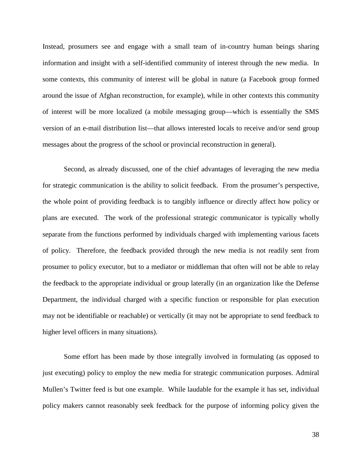Instead, prosumers see and engage with a small team of in-country human beings sharing information and insight with a self-identified community of interest through the new media. In some contexts, this community of interest will be global in nature (a Facebook group formed around the issue of Afghan reconstruction, for example), while in other contexts this community of interest will be more localized (a mobile messaging group—which is essentially the SMS version of an e-mail distribution list—that allows interested locals to receive and/or send group messages about the progress of the school or provincial reconstruction in general).

Second, as already discussed, one of the chief advantages of leveraging the new media for strategic communication is the ability to solicit feedback. From the prosumer's perspective, the whole point of providing feedback is to tangibly influence or directly affect how policy or plans are executed. The work of the professional strategic communicator is typically wholly separate from the functions performed by individuals charged with implementing various facets of policy. Therefore, the feedback provided through the new media is not readily sent from prosumer to policy executor, but to a mediator or middleman that often will not be able to relay the feedback to the appropriate individual or group laterally (in an organization like the Defense Department, the individual charged with a specific function or responsible for plan execution may not be identifiable or reachable) or vertically (it may not be appropriate to send feedback to higher level officers in many situations).

Some effort has been made by those integrally involved in formulating (as opposed to just executing) policy to employ the new media for strategic communication purposes. Admiral Mullen's Twitter feed is but one example. While laudable for the example it has set, individual policy makers cannot reasonably seek feedback for the purpose of informing policy given the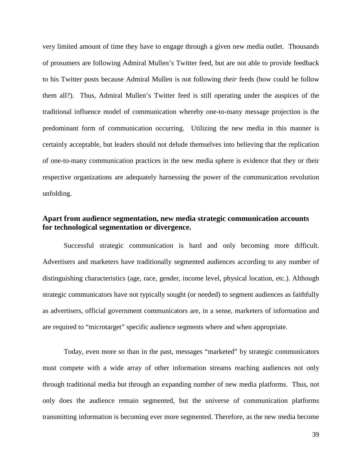very limited amount of time they have to engage through a given new media outlet. Thousands of prosumers are following Admiral Mullen's Twitter feed, but are not able to provide feedback to his Twitter posts because Admiral Mullen is not following *their* feeds (how could he follow them all?). Thus, Admiral Mullen's Twitter feed is still operating under the auspices of the traditional influence model of communication whereby one-to-many message projection is the predominant form of communication occurring. Utilizing the new media in this manner is certainly acceptable, but leaders should not delude themselves into believing that the replication of one-to-many communication practices in the new media sphere is evidence that they or their respective organizations are adequately harnessing the power of the communication revolution unfolding.

### <span id="page-46-0"></span>**Apart from audience segmentation, new media strategic communication accounts for technological segmentation or divergence.**

Successful strategic communication is hard and only becoming more difficult. Advertisers and marketers have traditionally segmented audiences according to any number of distinguishing characteristics (age, race, gender, income level, physical location, etc.). Although strategic communicators have not typically sought (or needed) to segment audiences as faithfully as advertisers, official government communicators are, in a sense, marketers of information and are required to "microtarget" specific audience segments where and when appropriate.

Today, even more so than in the past, messages "marketed" by strategic communicators must compete with a wide array of other information streams reaching audiences not only through traditional media but through an expanding number of new media platforms. Thus, not only does the audience remain segmented, but the universe of communication platforms transmitting information is becoming ever more segmented. Therefore, as the new media become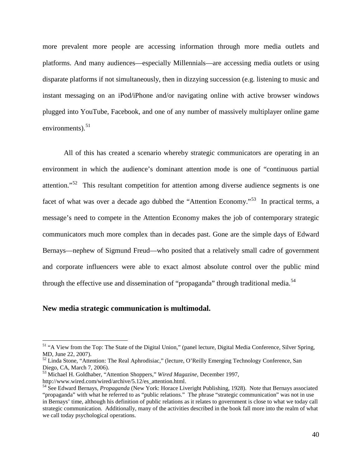more prevalent more people are accessing information through more media outlets and platforms. And many audiences—especially Millennials—are accessing media outlets or using disparate platforms if not simultaneously, then in dizzying succession (e.g. listening to music and instant messaging on an iPod/iPhone and/or navigating online with active browser windows plugged into YouTube, Facebook, and one of any number of massively multiplayer online game environments). $51$ 

All of this has created a scenario whereby strategic communicators are operating in an environment in which the audience's dominant attention mode is one of "continuous partial attention."<sup>[52](#page-47-2)</sup> This resultant competition for attention among diverse audience segments is one facet of what was over a decade ago dubbed the "Attention Economy."<sup>[53](#page-47-3)</sup> In practical terms, a message's need to compete in the Attention Economy makes the job of contemporary strategic communicators much more complex than in decades past. Gone are the simple days of Edward Bernays—nephew of Sigmund Freud—who posited that a relatively small cadre of government and corporate influencers were able to exact almost absolute control over the public mind through the effective use and dissemination of "propaganda" through traditional media.<sup>[54](#page-47-4)</sup>

#### <span id="page-47-0"></span>**New media strategic communication is multimodal.**

<span id="page-47-1"></span><sup>&</sup>lt;sup>51</sup> "A View from the Top: The State of the Digital Union," (panel lecture, Digital Media Conference, Silver Spring,

<span id="page-47-2"></span>MD, June 22, 2007).<br><sup>52</sup> Linda Stone, "Attention: The Real Aphrodisiac," (lecture, O'Reilly Emerging Technology Conference, San<br>Diego, CA, March 7, 2006).

<span id="page-47-3"></span><sup>&</sup>lt;sup>53</sup> Michael H. Goldhaber, "Attention Shoppers," *Wired Magazine*, December 1997, http://www.wired.com/wired/archive/5.12/es\_attention.html.

<span id="page-47-4"></span><sup>&</sup>lt;sup>54</sup> See Edward Bernays, *Propaganda* (New York: Horace Liveright Publishing, 1928). Note that Bernays associated "propaganda" with what he referred to as "public relations." The phrase "strategic communication" was not in use in Bernays' time, although his definition of public relations as it relates to government is close to what we today call strategic communication. Additionally, many of the activities described in the book fall more into the realm of what we call today psychological operations.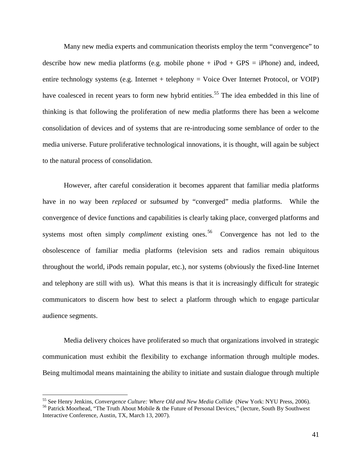Many new media experts and communication theorists employ the term "convergence" to describe how new media platforms (e.g. mobile phone  $+$  iPod  $+$  GPS = iPhone) and, indeed, entire technology systems (e.g. Internet + telephony = Voice Over Internet Protocol, or VOIP) have coalesced in recent years to form new hybrid entities.<sup>[55](#page-48-0)</sup> The idea embedded in this line of thinking is that following the proliferation of new media platforms there has been a welcome consolidation of devices and of systems that are re-introducing some semblance of order to the media universe. Future proliferative technological innovations, it is thought, will again be subject to the natural process of consolidation.

However, after careful consideration it becomes apparent that familiar media platforms have in no way been *replaced* or *subsumed* by "converged" media platforms. While the convergence of device functions and capabilities is clearly taking place, converged platforms and systems most often simply *compliment* existing ones. [56](#page-48-1) Convergence has not led to the obsolescence of familiar media platforms (television sets and radios remain ubiquitous throughout the world, iPods remain popular, etc.), nor systems (obviously the fixed-line Internet and telephony are still with us). What this means is that it is increasingly difficult for strategic communicators to discern how best to select a platform through which to engage particular audience segments.

Media delivery choices have proliferated so much that organizations involved in strategic communication must exhibit the flexibility to exchange information through multiple modes. Being multimodal means maintaining the ability to initiate and sustain dialogue through multiple

<span id="page-48-0"></span><sup>&</sup>lt;sup>55</sup> See Henry Jenkins, *Convergence Culture: Where Old and New Media Collide* (New York: NYU Press, 2006).<br><sup>56</sup> Patrick Moorhead, "The Truth About Mobile & the Future of Personal Devices," (lecture, South By Southwest

<span id="page-48-1"></span>Interactive Conference, Austin, TX, March 13, 2007).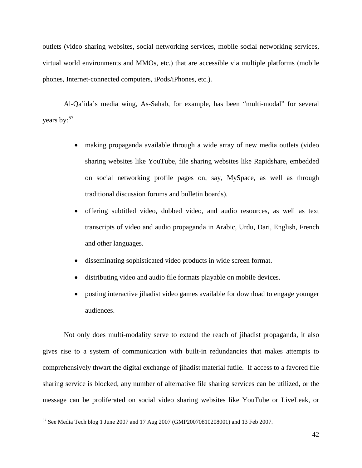outlets (video sharing websites, social networking services, mobile social networking services, virtual world environments and MMOs, etc.) that are accessible via multiple platforms (mobile phones, Internet-connected computers, iPods/iPhones, etc.).

Al-Qa'ida's media wing, As-Sahab, for example, has been "multi-modal" for several years by:<sup>[57](#page-49-0)</sup>

- making propaganda available through a wide array of new media outlets (video sharing websites like YouTube, file sharing websites like Rapidshare, embedded on social networking profile pages on, say, MySpace, as well as through traditional discussion forums and bulletin boards).
- offering subtitled video, dubbed video, and audio resources, as well as text transcripts of video and audio propaganda in Arabic, Urdu, Dari, English, French and other languages.
- disseminating sophisticated video products in wide screen format.
- distributing video and audio file formats playable on mobile devices.
- posting interactive jihadist video games available for download to engage younger audiences.

Not only does multi-modality serve to extend the reach of jihadist propaganda, it also gives rise to a system of communication with built-in redundancies that makes attempts to comprehensively thwart the digital exchange of jihadist material futile. If access to a favored file sharing service is blocked, any number of alternative file sharing services can be utilized, or the message can be proliferated on social video sharing websites like YouTube or LiveLeak, or

<span id="page-49-0"></span><sup>57</sup> See Media Tech blog 1 June 2007 and 17 Aug 2007 (GMP20070810208001) and 13 Feb 2007.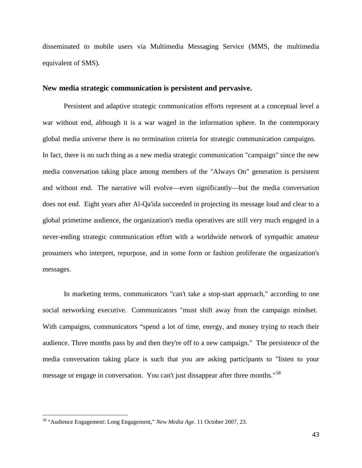disseminated to mobile users via Multimedia Messaging Service (MMS, the multimedia equivalent of SMS).

#### <span id="page-50-0"></span>**New media strategic communication is persistent and pervasive.**

Persistent and adaptive strategic communication efforts represent at a conceptual level a war without end, although it is a war waged in the information sphere. In the contemporary global media universe there is no termination criteria for strategic communication campaigns. In fact, there is no such thing as a new media strategic communication "campaign" since the new media conversation taking place among members of the "Always On" generation is persistent and without end. The narrative will evolve—even significantly—but the media conversation does not end. Eight years after Al-Qa'ida succeeded in projecting its message loud and clear to a global primetime audience, the organization's media operatives are still very much engaged in a never-ending strategic communication effort with a worldwide network of sympathic amateur prosumers who interpret, repurpose, and in some form or fashion proliferate the organization's messages.

In marketing terms, communicators "can't take a stop-start approach," according to one social networking executive. Communicators "must shift away from the campaign mindset. With campaigns, communicators "spend a lot of time, energy, and money trying to reach their audience. Three months pass by and then they're off to a new campaign." The persistence of the media conversation taking place is such that you are asking participants to "listen to your message or engage in conversation. You can't just dissappear after three months."<sup>[58](#page-50-1)</sup>

<span id="page-50-1"></span><sup>58</sup> "Audience Engagement: Long Engagement," *New Media Age*. 11 October 2007, 23.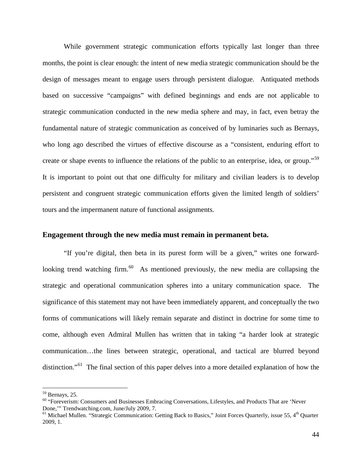While government strategic communication efforts typically last longer than three months, the point is clear enough: the intent of new media strategic communication should be the design of messages meant to engage users through persistent dialogue. Antiquated methods based on successive "campaigns" with defined beginnings and ends are not applicable to strategic communication conducted in the new media sphere and may, in fact, even betray the fundamental nature of strategic communication as conceived of by luminaries such as Bernays, who long ago described the virtues of effective discourse as a "consistent, enduring effort to create or shape events to influence the relations of the public to an enterprise, idea, or group."<sup>[59](#page-51-1)</sup> It is important to point out that one difficulty for military and civilian leaders is to develop persistent and congruent strategic communication efforts given the limited length of soldiers' tours and the impermanent nature of functional assignments.

#### <span id="page-51-0"></span>**Engagement through the new media must remain in permanent beta.**

"If you're digital, then beta in its purest form will be a given," writes one forwardlooking trend watching firm. $60$  As mentioned previously, the new media are collapsing the strategic and operational communication spheres into a unitary communication space. The significance of this statement may not have been immediately apparent, and conceptually the two forms of communications will likely remain separate and distinct in doctrine for some time to come, although even Admiral Mullen has written that in taking "a harder look at strategic communication…the lines between strategic, operational, and tactical are blurred beyond distinction."<sup>[61](#page-51-3)</sup> The final section of this paper delves into a more detailed explanation of how the

<span id="page-51-1"></span><sup>&</sup>lt;sup>59</sup> Bernays, 25.

<span id="page-51-2"></span> $60$  "Foreverism: Consumers and Businesses Embracing Conversations, Lifestyles, and Products That are 'Never Done,'" Trendwatching.com, June/July 2009, 7.

<span id="page-51-3"></span> $^{61}$  Michael Mullen. "Strategic Communication: Getting Back to Basics," Joint Forces Quarterly, issue 55, 4<sup>th</sup> Quarter 2009, 1.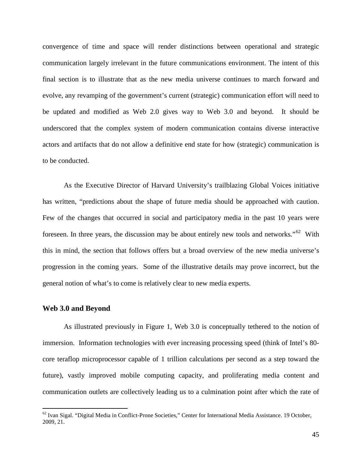convergence of time and space will render distinctions between operational and strategic communication largely irrelevant in the future communications environment. The intent of this final section is to illustrate that as the new media universe continues to march forward and evolve, any revamping of the government's current (strategic) communication effort will need to be updated and modified as Web 2.0 gives way to Web 3.0 and beyond. It should be underscored that the complex system of modern communication contains diverse interactive actors and artifacts that do not allow a definitive end state for how (strategic) communication is to be conducted.

As the Executive Director of Harvard University's trailblazing Global Voices initiative has written, "predictions about the shape of future media should be approached with caution. Few of the changes that occurred in social and participatory media in the past 10 years were foreseen. In three years, the discussion may be about entirely new tools and networks."<sup>[62](#page-52-1)</sup> With this in mind, the section that follows offers but a broad overview of the new media universe's progression in the coming years. Some of the illustrative details may prove incorrect, but the general notion of what's to come is relatively clear to new media experts.

#### <span id="page-52-0"></span>**Web 3.0 and Beyond**

 $\overline{a}$ 

As illustrated previously in Figure 1, Web 3.0 is conceptually tethered to the notion of immersion. Information technologies with ever increasing processing speed (think of Intel's 80 core teraflop microprocessor capable of 1 trillion calculations per second as a step toward the future), vastly improved mobile computing capacity, and proliferating media content and communication outlets are collectively leading us to a culmination point after which the rate of

<span id="page-52-1"></span> $62$  Ivan Sigal. "Digital Media in Conflict-Prone Societies," Center for International Media Assistance. 19 October, 2009, 21.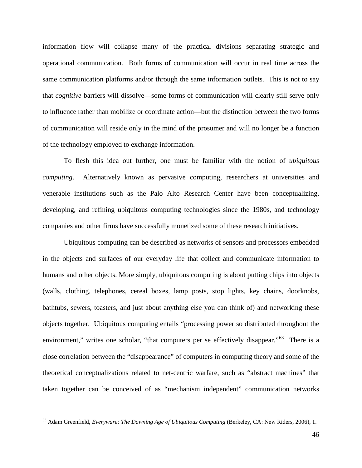information flow will collapse many of the practical divisions separating strategic and operational communication. Both forms of communication will occur in real time across the same communication platforms and/or through the same information outlets. This is not to say that *cognitive* barriers will dissolve—some forms of communication will clearly still serve only to influence rather than mobilize or coordinate action—but the distinction between the two forms of communication will reside only in the mind of the prosumer and will no longer be a function of the technology employed to exchange information.

To flesh this idea out further, one must be familiar with the notion of *ubiquitous computing*. Alternatively known as pervasive computing, researchers at universities and venerable institutions such as the Palo Alto Research Center have been conceptualizing, developing, and refining ubiquitous computing technologies since the 1980s, and technology companies and other firms have successfully monetized some of these research initiatives.

Ubiquitous computing can be described as networks of sensors and processors embedded in the objects and surfaces of our everyday life that collect and communicate information to humans and other objects. More simply, ubiquitous computing is about putting chips into objects (walls, clothing, telephones, cereal boxes, lamp posts, stop lights, key chains, doorknobs, bathtubs, sewers, toasters, and just about anything else you can think of) and networking these objects together. Ubiquitous computing entails "processing power so distributed throughout the environment," writes one scholar, "that computers per se effectively disappear."<sup>[63](#page-53-0)</sup> There is a close correlation between the "disappearance" of computers in computing theory and some of the theoretical conceptualizations related to net-centric warfare, such as "abstract machines" that taken together can be conceived of as "mechanism independent" communication networks

<span id="page-53-0"></span><sup>63</sup> Adam Greenfield, *Everyware: The Dawning Age of Ubiquitous Computing* (Berkeley, CA: New Riders, 2006), 1.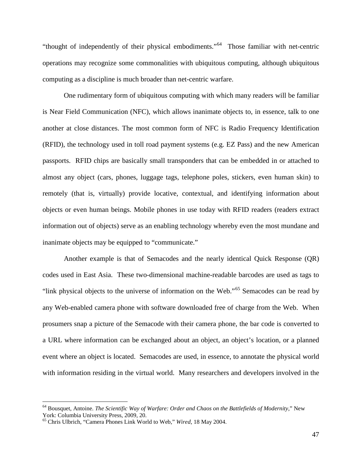"thought of independently of their physical embodiments."<sup>[64](#page-54-0)</sup> Those familiar with net-centric operations may recognize some commonalities with ubiquitous computing, although ubiquitous computing as a discipline is much broader than net-centric warfare.

One rudimentary form of ubiquitous computing with which many readers will be familiar is Near Field Communication (NFC), which allows inanimate objects to, in essence, talk to one another at close distances. The most common form of NFC is Radio Frequency Identification (RFID), the technology used in toll road payment systems (e.g. EZ Pass) and the new American passports. RFID chips are basically small transponders that can be embedded in or attached to almost any object (cars, phones, luggage tags, telephone poles, stickers, even human skin) to remotely (that is, virtually) provide locative, contextual, and identifying information about objects or even human beings. Mobile phones in use today with RFID readers (readers extract information out of objects) serve as an enabling technology whereby even the most mundane and inanimate objects may be equipped to "communicate."

Another example is that of Semacodes and the nearly identical Quick Response (QR) codes used in East Asia. These two-dimensional machine-readable barcodes are used as tags to "link physical objects to the universe of information on the Web."<sup>[65](#page-54-1)</sup> Semacodes can be read by any Web-enabled camera phone with software downloaded free of charge from the Web. When prosumers snap a picture of the Semacode with their camera phone, the bar code is converted to a URL where information can be exchanged about an object, an object's location, or a planned event where an object is located. Semacodes are used, in essence, to annotate the physical world with information residing in the virtual world. Many researchers and developers involved in the

<span id="page-54-0"></span><sup>64</sup> Bousquet, Antoine. *The Scientific Way of Warfare: Order and Chaos on the Battlefields of Modernity*," New York: Columbia University Press, 2009, 20.

<span id="page-54-1"></span><sup>65</sup> Chris Ulbrich, "Camera Phones Link World to Web," *Wired*, 18 May 2004.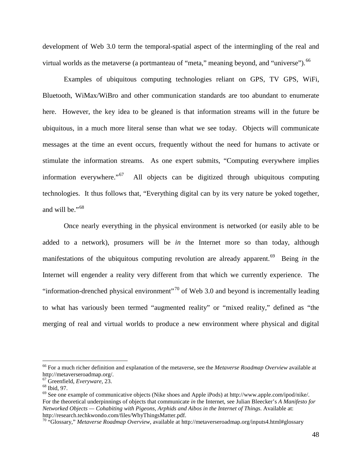development of Web 3.0 term the temporal-spatial aspect of the intermingling of the real and virtual worlds as the metaverse (a portmanteau of "meta," meaning beyond, and "universe").<sup>[66](#page-55-0)</sup>

Examples of ubiquitous computing technologies reliant on GPS, TV GPS, WiFi, Bluetooth, WiMax/WiBro and other communication standards are too abundant to enumerate here. However, the key idea to be gleaned is that information streams will in the future be ubiquitous, in a much more literal sense than what we see today. Objects will communicate messages at the time an event occurs, frequently without the need for humans to activate or stimulate the information streams. As one expert submits, "Computing everywhere implies information everywhere."<sup>67</sup> All objects can be digitized through ubiquitous computing technologies. It thus follows that, "Everything digital can by its very nature be yoked together, and will be."<sup>[68](#page-55-2)</sup>

Once nearly everything in the physical environment is networked (or easily able to be added to a network), prosumers will be *in* the Internet more so than today, although manifestations of the ubiquitous computing revolution are already apparent. [69](#page-55-3) Being *in* the Internet will engender a reality very different from that which we currently experience. The "information-drenched physical environment"<sup>[70](#page-55-4)</sup> of Web 3.0 and beyond is incrementally leading to what has variously been termed "augmented reality" or "mixed reality," defined as "the merging of real and virtual worlds to produce a new environment where physical and digital

<span id="page-55-0"></span><sup>66</sup> For a much richer definition and explanation of the metaverse, see the *Metaverse Roadmap Overview* available at http://metaverseroadmap.org/.<br><sup>67</sup> Greenfield, *Everyware*, 23.

<span id="page-55-3"></span><span id="page-55-2"></span><span id="page-55-1"></span><sup>&</sup>lt;sup>68</sup> Ibid, 97.<br><sup>69</sup> See one example of communicative objects (Nike shoes and Apple iPods) at http://www.apple.com/ipod/nike/. For the theoretical underpinnings of objects that communicate *in* the Internet, see Julian Bleecker's *A Manifesto for Networked Objects — Cohabiting with Pigeons, Arphids and Aibos in the Internet of Things. Available at:*<br>http://research.techkwondo.com/files/WhyThingsMatter.pdf.

<span id="page-55-4"></span><sup>&</sup>lt;sup>70</sup> "Glossary," *Metaverse Roadmap Overview*, available at http://metaverseroadmap.org/inputs4.html#glossary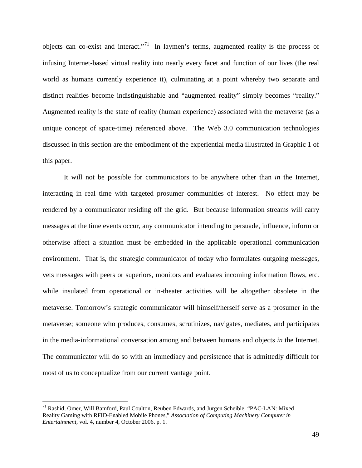objects can co-exist and interact."<sup>[71](#page-56-0)</sup> In laymen's terms, augmented reality is the process of infusing Internet-based virtual reality into nearly every facet and function of our lives (the real world as humans currently experience it), culminating at a point whereby two separate and distinct realities become indistinguishable and "augmented reality" simply becomes "reality." Augmented reality is the state of reality (human experience) associated with the metaverse (as a unique concept of space-time) referenced above. The Web 3.0 communication technologies discussed in this section are the embodiment of the experiential media illustrated in Graphic 1 of this paper.

It will not be possible for communicators to be anywhere other than *in* the Internet, interacting in real time with targeted prosumer communities of interest. No effect may be rendered by a communicator residing off the grid. But because information streams will carry messages at the time events occur, any communicator intending to persuade, influence, inform or otherwise affect a situation must be embedded in the applicable operational communication environment. That is, the strategic communicator of today who formulates outgoing messages, vets messages with peers or superiors, monitors and evaluates incoming information flows, etc. while insulated from operational or in-theater activities will be altogether obsolete in the metaverse. Tomorrow's strategic communicator will himself/herself serve as a prosumer in the metaverse; someone who produces, consumes, scrutinizes, navigates, mediates, and participates in the media-informational conversation among and between humans and objects *in* the Internet. The communicator will do so with an immediacy and persistence that is admittedly difficult for most of us to conceptualize from our current vantage point.

<span id="page-56-0"></span><sup>71</sup> Rashid, Omer, Will Bamford, Paul Coulton, Reuben Edwards, and Jurgen Scheible, "PAC-LAN: Mixed Reality Gaming with RFID-Enabled Mobile Phones," *Association of Computing Machinery Computer in Entertainment*, vol. 4, number 4, October 2006. p. 1.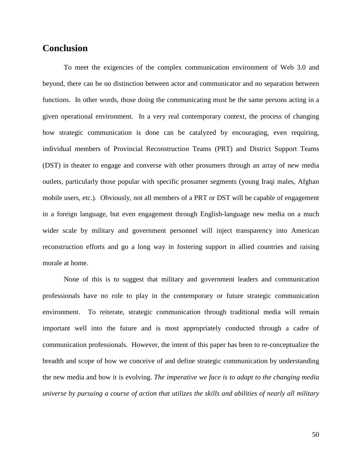## <span id="page-57-0"></span>**Conclusion**

To meet the exigencies of the complex communication environment of Web 3.0 and beyond, there can be no distinction between actor and communicator and no separation between functions. In other words, those doing the communicating must be the same persons acting in a given operational environment. In a very real contemporary context, the process of changing how strategic communication is done can be catalyzed by encouraging, even requiring, individual members of Provincial Reconstruction Teams (PRT) and District Support Teams (DST) in theater to engage and converse with other prosumers through an array of new media outlets, particularly those popular with specific prosumer segments (young Iraqi males, Afghan mobile users, etc.). Obviously, not all members of a PRT or DST will be capable of engagement in a foreign language, but even engagement through English-language new media on a much wider scale by military and government personnel will inject transparency into American reconstruction efforts and go a long way in fostering support in allied countries and raising morale at home.

None of this is to suggest that military and government leaders and communication professionals have no role to play in the contemporary or future strategic communication environment. To reiterate, strategic communication through traditional media will remain important well into the future and is most appropriately conducted through a cadre of communication professionals. However, the intent of this paper has been to re-conceptualize the breadth and scope of how we conceive of and define strategic communication by understanding the new media and how it is evolving. *The imperative we face is to adapt to the changing media universe by pursuing a course of action that utilizes the skills and abilities of nearly all military*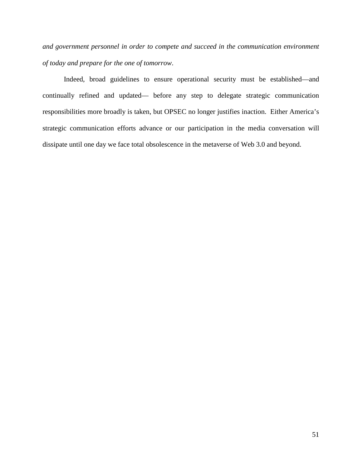*and government personnel in order to compete and succeed in the communication environment of today and prepare for the one of tomorrow*.

Indeed, broad guidelines to ensure operational security must be established—and continually refined and updated— before any step to delegate strategic communication responsibilities more broadly is taken, but OPSEC no longer justifies inaction. Either America's strategic communication efforts advance or our participation in the media conversation will dissipate until one day we face total obsolescence in the metaverse of Web 3.0 and beyond.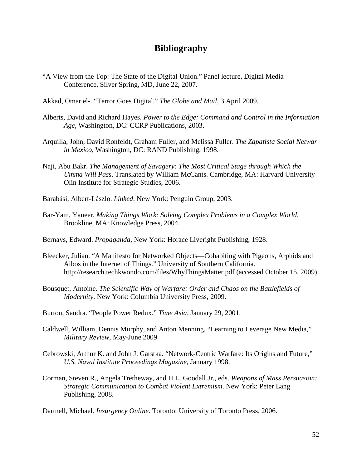## **Bibliography**

- "A View from the Top: The State of the Digital Union." Panel lecture, Digital Media Conference, Silver Spring, MD, June 22, 2007.
- Akkad, Omar el-. "Terror Goes Digital." *The Globe and Mail*, 3 April 2009.
- Alberts, David and Richard Hayes. *Power to the Edge: Command and Control in the Information Age*, Washington, DC: CCRP Publications, 2003.
- Arquilla, John, David Ronfeldt, Graham Fuller, and Melissa Fuller. *The Zapatista Social Netwar in Mexico*, Washington, DC: RAND Publishing, 1998.
- Naji, Abu Bakr. *The Management of Savagery: The Most Critical Stage through Which the Umma Will Pass*. Translated by William McCants. Cambridge, MA: Harvard University Olin Institute for Strategic Studies, 2006.
- Barabási, Albert-Lászlo. *Linked*. New York: Penguin Group, 2003.
- Bar-Yam, Yaneer. *Making Things Work: Solving Complex Problems in a Complex World*. Brookline, MA: Knowledge Press, 2004.
- Bernays, Edward. *Propaganda*, New York: Horace Liveright Publishing, 1928.
- Bleecker, Julian. "A Manifesto for Networked Objects—Cohabiting with Pigeons, Arphids and Aibos in the Internet of Things." University of Southern California. http://research.techkwondo.com/files/WhyThingsMatter.pdf (accessed October 15, 2009).
- Bousquet, Antoine. *The Scientific Way of Warfare: Order and Chaos on the Battlefields of Modernity*. New York: Columbia University Press, 2009.
- Burton, Sandra. "People Power Redux." *Time Asia*, January 29, 2001.
- Caldwell, William, Dennis Murphy, and Anton Menning. "Learning to Leverage New Media," *Military Review*, May-June 2009.
- Cebrowski, Arthur K. and John J. Garstka. "Network-Centric Warfare: Its Origins and Future," *U.S. Naval Institute Proceedings Magazine*, January 1998.
- Corman, Steven R., Angela Tretheway, and H.L. Goodall Jr., eds. *Weapons of Mass Persuasion: Strategic Communication to Combat Violent Extremism*. New York: Peter Lang Publishing, 2008.

Dartnell, Michael. *Insurgency Online*. Toronto: University of Toronto Press, 2006.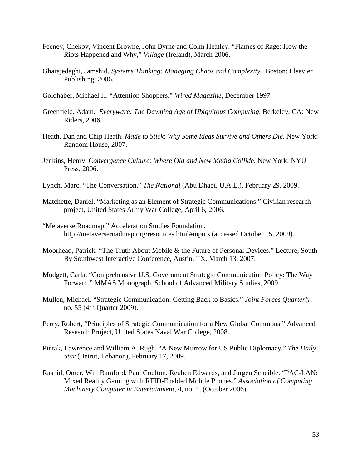- Feeney, Chekov, Vincent Browne, John Byrne and Colm Heatley. "Flames of Rage: How the Riots Happened and Why," *Village* (Ireland), March 2006.
- Gharajedaghi, Jamshid. *Systems Thinking: Managing Chaos and Complexity*. Boston: Elsevier Publishing, 2006.
- Goldhaber, Michael H. "Attention Shoppers." *Wired Magazine*, December 1997.
- Greenfield, Adam. *Everyware: The Dawning Age of Ubiquitous Computing*. Berkeley, CA: New Riders, 2006.
- Heath, Dan and Chip Heath. *Made to Stick*: *Why Some Ideas Survive and Others Die*. New York: Random House, 2007.
- Jenkins, Henry. *Convergence Culture: Where Old and New Media Collide*. New York: NYU Press, 2006.
- Lynch, Marc. "The Conversation," *The National* (Abu Dhabi, U.A.E.), February 29, 2009.
- Matchette, Daniel. "Marketing as an Element of Strategic Communications." Civilian research project, United States Army War College, April 6, 2006.
- "Metaverse Roadmap." Acceleration Studies Foundation. http://metaverseroadmap.org/resources.html#inputs (accessed October 15, 2009).
- Moorhead, Patrick. "The Truth About Mobile & the Future of Personal Devices." Lecture, South By Southwest Interactive Conference, Austin, TX, March 13, 2007.
- Mudgett, Carla. "Comprehensive U.S. Government Strategic Communication Policy: The Way Forward." MMAS Monograph, School of Advanced Military Studies, 2009.
- Mullen, Michael. "Strategic Communication: Getting Back to Basics." *Joint Forces Quarterly*, no. 55 (4th Quarter 2009).
- Perry, Robert, "Principles of Strategic Communication for a New Global Commons." Advanced Research Project, United States Naval War College, 2008.
- Pintak, Lawrence and William A. Rugh. "A New Murrow for US Public Diplomacy." *The Daily Star* (Beirut, Lebanon), February 17, 2009.
- Rashid, Omer, Will Bamford, Paul Coulton, Reuben Edwards, and Jurgen Scheible. "PAC-LAN: Mixed Reality Gaming with RFID-Enabled Mobile Phones." *Association of Computing Machinery Computer in Entertainment*, 4, no. 4, (October 2006).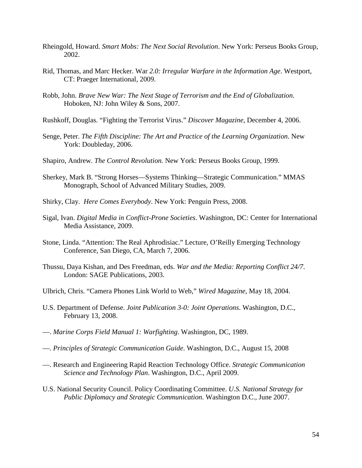- Rheingold, Howard. *Smart Mobs: The Next Social Revolution*. New York: Perseus Books Group, 2002.
- Rid, Thomas, and Marc Hecker. War *2.0: Irregular Warfare in the Information Age*. Westport, CT: Praeger International, 2009.
- Robb, John. *Brave New War: The Next Stage of Terrorism and the End of Globalization*. Hoboken, NJ: John Wiley & Sons, 2007.
- Rushkoff, Douglas. "Fighting the Terrorist Virus." *Discover Magazine*, December 4, 2006.
- Senge, Peter. *The Fifth Discipline: The Art and Practice of the Learning Organization*. New York: Doubleday, 2006.
- Shapiro, Andrew. *The Control Revolution.* New York: Perseus Books Group, 1999.
- Sherkey, Mark B. "Strong Horses—Systems Thinking—Strategic Communication." MMAS Monograph, School of Advanced Military Studies, 2009.
- Shirky, Clay. *Here Comes Everybody*. New York: Penguin Press, 2008.
- Sigal, Ivan. *Digital Media in Conflict-Prone Societies*. Washington, DC: Center for International Media Assistance, 2009.
- Stone, Linda. "Attention: The Real Aphrodisiac." Lecture, O'Reilly Emerging Technology Conference, San Diego, CA, March 7, 2006.
- Thussu, Daya Kishan, and Des Freedman, eds. *War and the Media: Reporting Conflict 24/7*. London: SAGE Publications, 2003.
- Ulbrich, Chris. "Camera Phones Link World to Web," *Wired Magazine*, May 18, 2004.
- U.S. Department of Defense. *Joint Publication 3-0: Joint Operations*. Washington, D.C., February 13, 2008.
- —. *Marine Corps Field Manual 1: Warfighting*. Washington, DC, 1989.
- —. *Principles of Strategic Communication Guide*. Washington, D.C., August 15, 2008
- —. Research and Engineering Rapid Reaction Technology Office. *Strategic Communication Science and Technology Plan*. Washington, D.C., April 2009.
- U.S. National Security Council. Policy Coordinating Committee. *U.S. National Strategy for Public Diplomacy and Strategic Communication*. Washington D.C., June 2007.